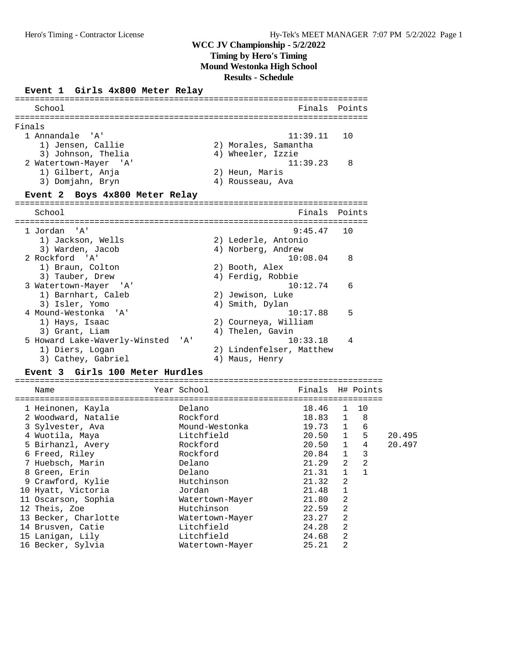**Timing by Hero's Timing**

**Mound Westonka High School**

**Results - Schedule**

## **Event 1 Girls 4x800 Meter Relay**

| School                                | Finals<br>Points         |
|---------------------------------------|--------------------------|
|                                       |                          |
| Finals                                |                          |
| 1 Annandale<br><b>A</b>               | 11:39.11<br>1 O          |
| 1) Jensen, Callie                     | 2) Morales, Samantha     |
| 3) Johnson, Thelia                    | 4) Wheeler, Izzie        |
| 2 Watertown-Mayer 'A'                 | 11:39.23<br>8            |
| 1) Gilbert, Anja                      | 2) Heun, Maris           |
| 3) Domjahn, Bryn                      | 4) Rousseau, Ava         |
|                                       |                          |
| Event 2 Boys 4x800 Meter Relay        |                          |
|                                       |                          |
| School                                | Finals<br>Points         |
|                                       |                          |
| 1 Jordan<br>י גי                      | 9:45.47<br>10            |
| 1) Jackson, Wells                     | 2) Lederle, Antonio      |
| 3) Warden, Jacob                      | 4) Norberg, Andrew       |
| 2 Rockford 'A'                        | 10:08.04<br>8            |
| 1) Braun, Colton                      | 2) Booth, Alex           |
| 3) Tauber, Drew                       | 4) Ferdig, Robbie        |
| 3 Watertown-Mayer 'A'                 | 10:12.74<br>6            |
| 1) Barnhart, Caleb                    | 2) Jewison, Luke         |
| 3) Isler, Yomo                        | 4) Smith, Dylan          |
| 4 Mound-Westonka 'A'                  | 10:17.88<br>5            |
| 1) Hays, Isaac                        | 2) Courneya, William     |
| 3) Grant, Liam                        | 4) Thelen, Gavin         |
| 5 Howard Lake-Waverly-Winsted<br>' A' | 10:33.18<br>4            |
| 1) Diers, Logan                       | 2) Lindenfelser, Matthew |
| 3) Cathey, Gabriel                    | 4) Maus, Henry           |

### **Event 3 Girls 100 Meter Hurdles**

| Name                 |                                                                 |                 |                                   |                |                                       |                             |
|----------------------|-----------------------------------------------------------------|-----------------|-----------------------------------|----------------|---------------------------------------|-----------------------------|
|                      |                                                                 |                 |                                   |                |                                       |                             |
|                      |                                                                 |                 |                                   |                |                                       |                             |
|                      |                                                                 |                 |                                   |                |                                       |                             |
| 3 Sylvester, Ava     |                                                                 | Mound-Westonka  | 19.73                             | $\mathbf{1}$   | 6                                     |                             |
| 4 Wuotila, Maya      |                                                                 | Litchfield      | 20.50                             | $\mathbf{1}$   | 5                                     | 20.495                      |
| 5 Birhanzl, Avery    |                                                                 | Rockford        | 20.50                             | $\mathbf{1}$   | 4                                     | 20.497                      |
| 6 Freed, Riley       |                                                                 | Rockford        | 20.84                             | $\mathbf{1}$   | 3                                     |                             |
| 7 Huebsch, Marin     |                                                                 | Delano          | 21.29                             | 2              | 2                                     |                             |
| 8 Green, Erin        |                                                                 | Delano          | 21.31                             | $\mathbf{1}$   |                                       |                             |
| 9 Crawford, Kylie    |                                                                 | Hutchinson      | 21.32                             | 2              |                                       |                             |
| 10 Hyatt, Victoria   |                                                                 | Jordan          | 21.48                             | 1              |                                       |                             |
|                      |                                                                 | Watertown-Mayer | 21.80                             | 2              |                                       |                             |
| 12 Theis, Zoe        |                                                                 | Hutchinson      | 22.59                             | $\overline{2}$ |                                       |                             |
| 13 Becker, Charlotte |                                                                 | Watertown-Mayer | 23.27                             | 2              |                                       |                             |
| 14 Brusven, Catie    |                                                                 | Litchfield      | 24.28                             | 2              |                                       |                             |
| 15 Lanigan, Lily     |                                                                 | Litchfield      | 24.68                             | 2              |                                       |                             |
| 16 Becker, Sylvia    |                                                                 | Watertown-Mayer | 25.21                             | 2              |                                       |                             |
|                      | 1 Heinonen, Kayla<br>2 Woodward, Natalie<br>11 Oscarson, Sophia |                 | Year School<br>Delano<br>Rockford | 18.46          | $\mathbf{1}$<br>$\mathbf{1}$<br>18.83 | Finals H# Points<br>10<br>8 |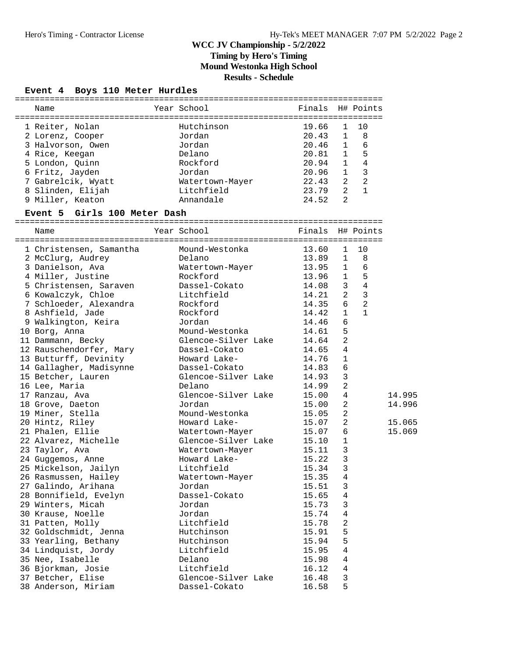**Results - Schedule**

## **Event 4 Boys 110 Meter Hurdles**

| Name                         | Year School         | Finals H# Points |                |                          |        |
|------------------------------|---------------------|------------------|----------------|--------------------------|--------|
|                              |                     |                  |                |                          |        |
| 1 Reiter, Nolan              | Hutchinson          | 19.66            | $\mathbf 1$    | 10                       |        |
| 2 Lorenz, Cooper             | Jordan              | 20.43            | 1              | 8                        |        |
| 3 Halvorson, Owen            | Jordan              | 20.46            | 1              | 6                        |        |
| 4 Rice, Keegan               | Delano              | 20.81            | $\mathbf{1}$   | 5                        |        |
| 5 London, Quinn              | Rockford            | 20.94            | $\mathbf{1}$   | $\overline{4}$           |        |
| 6 Fritz, Jayden              | Jordan              | 20.96            | $\mathbf{1}$   | $\overline{\phantom{a}}$ |        |
| 7 Gabrelcik, Wyatt           | Watertown-Mayer     | 22.43            | 2              | $\overline{2}$           |        |
| 8 Slinden, Elijah            | Litchfield          | 23.79            | $\overline{a}$ | $\mathbf{1}$             |        |
| 9 Miller, Keaton             | Annandale           | 24.52            | 2              |                          |        |
| Event 5 Girls 100 Meter Dash |                     |                  |                |                          |        |
|                              |                     |                  |                |                          |        |
| Name                         | Year School         | Finals H# Points |                |                          |        |
| 1 Christensen, Samantha      | Mound-Westonka      | 13.60            | $\mathbf{1}$   | 10                       |        |
|                              |                     | 13.89            | $\mathbf{1}$   | 8                        |        |
| 2 McClurg, Audrey            | Delano              |                  |                |                          |        |
| 3 Danielson, Ava             | Watertown-Mayer     | 13.95            | $\mathbf{1}$   | 6                        |        |
| 4 Miller, Justine            | Rockford            | 13.96            | $\mathbf{1}$   | $-5$                     |        |
| 5 Christensen, Saraven       | Dassel-Cokato       | 14.08            | 3              | $\overline{4}$           |        |
| 6 Kowalczyk, Chloe           | Litchfield          | 14.21            | $\overline{a}$ | $\overline{3}$           |        |
| 7 Schloeder, Alexandra       | Rockford            | 14.35            | 6              | $\overline{2}$           |        |
| 8 Ashfield, Jade             | Rockford            | 14.42            | $\mathbf{1}$   | $\mathbf{1}$             |        |
| 9 Walkington, Keira          | Jordan              | 14.46            | 6              |                          |        |
| 10 Borg, Anna                | Mound-Westonka      | 14.61            | 5              |                          |        |
| 11 Dammann, Becky            | Glencoe-Silver Lake | 14.64            | 2              |                          |        |
| 12 Rauschendorfer, Mary      | Dassel-Cokato       | 14.65            | 4              |                          |        |
| 13 Butturff, Devinity        | Howard Lake-        | 14.76            | $1\,$          |                          |        |
| 14 Gallagher, Madisynne      | Dassel-Cokato       | 14.83            | 6              |                          |        |
| 15 Betcher, Lauren           | Glencoe-Silver Lake | 14.93            | 3              |                          |        |
| 16 Lee, Maria                | Delano              | 14.99            | 2              |                          |        |
| 17 Ranzau, Ava               | Glencoe-Silver Lake | 15.00            | 4              |                          | 14.995 |
| 18 Grove, Daeton             | Jordan              | 15.00            | $\overline{2}$ |                          | 14.996 |
| 19 Miner, Stella             | Mound-Westonka      | 15.05            | $\overline{2}$ |                          |        |
| 20 Hintz, Riley              | Howard Lake-        | 15.07            | 2              |                          | 15.065 |
| 21 Phalen, Ellie             | Watertown-Mayer     | 15.07            | 6              |                          | 15.069 |
| 22 Alvarez, Michelle         | Glencoe-Silver Lake | 15.10            | 1              |                          |        |
| 23 Taylor, Ava               | Watertown-Mayer     | 15.11            | 3              |                          |        |
| 24 Guggemos, Anne            | Howard Lake-        | 15.22            | 3              |                          |        |
| 25 Mickelson, Jailyn         | Litchfield          | 15.34            | 3              |                          |        |
| 26 Rasmussen, Hailey         | Watertown-Mayer     | 15.35            | 4              |                          |        |
| 27 Galindo, Arihana          | Jordan              | 15.51            | 3              |                          |        |
| 28 Bonnifield, Evelyn        | Dassel-Cokato       | 15.65            | 4              |                          |        |
|                              |                     |                  |                |                          |        |
| 29 Winters, Micah            | Jordan              | 15.73            | 3              |                          |        |
| 30 Krause, Noelle            | Jordan              | 15.74            | 4              |                          |        |
| 31 Patten, Molly             | Litchfield          | 15.78            | 2              |                          |        |
| 32 Goldschmidt, Jenna        | Hutchinson          | 15.91            | 5              |                          |        |
| 33 Yearling, Bethany         | Hutchinson          | 15.94            | 5              |                          |        |
| 34 Lindquist, Jordy          | Litchfield          | 15.95            | 4              |                          |        |
| 35 Nee, Isabelle             | Delano              | 15.98            | 4              |                          |        |
| 36 Bjorkman, Josie           | Litchfield          | 16.12            | $\overline{4}$ |                          |        |
| 37 Betcher, Elise            | Glencoe-Silver Lake | 16.48            | 3              |                          |        |
| 38 Anderson, Miriam          | Dassel-Cokato       | 16.58            | 5              |                          |        |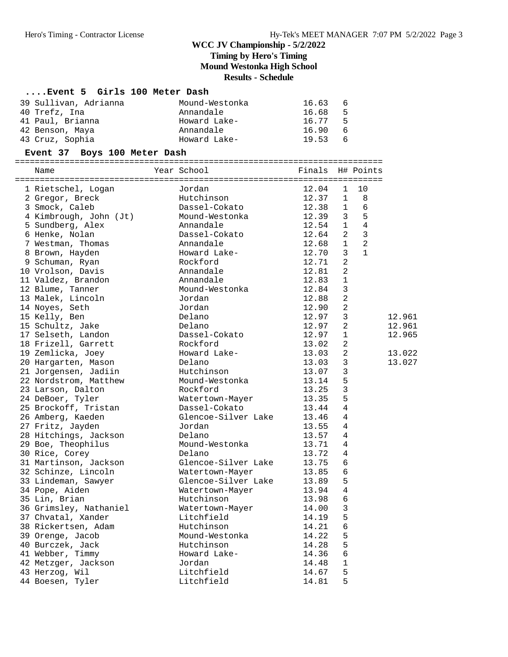# **....Event 5 Girls 100 Meter Dash**

| 39 Sullivan, Adrianna | Mound-Westonka | 16.63 6 |   |
|-----------------------|----------------|---------|---|
| 40 Trefz, Ina         | Annandale      | 16.68 5 |   |
| 41 Paul, Brianna      | Howard Lake-   | 16.77 5 |   |
| 42 Benson, Maya       | Annandale      | 16.90 6 |   |
| 43 Cruz, Sophia       | Howard Lake-   | 19.53   | 6 |

## **Event 37 Boys 100 Meter Dash**

==========================================================================

| Name                   | Year School         | Finals |                | H# Points      |        |
|------------------------|---------------------|--------|----------------|----------------|--------|
| 1 Rietschel, Logan     | Jordan              | 12.04  | $\mathbf 1$    | 10             |        |
| 2 Gregor, Breck        | Hutchinson          | 12.37  | $\mathbf 1$    | 8              |        |
| 3 Smock, Caleb         | Dassel-Cokato       | 12.38  | 1              | 6              |        |
| 4 Kimbrough, John (Jt) | Mound-Westonka      | 12.39  | 3              | 5              |        |
| 5 Sundberg, Alex       | Annandale           | 12.54  | $\mathbf{1}$   | 4              |        |
| 6 Henke, Nolan         | Dassel-Cokato       | 12.64  | 2              | $\overline{3}$ |        |
| 7 Westman, Thomas      | Annandale           | 12.68  | $\mathbf{1}$   | 2              |        |
| 8 Brown, Hayden        | Howard Lake-        | 12.70  | 3              | $\mathbf{1}$   |        |
| 9 Schuman, Ryan        | Rockford            | 12.71  | $\overline{2}$ |                |        |
| 10 Vrolson, Davis      | Annandale           | 12.81  | 2              |                |        |
| 11 Valdez, Brandon     | Annandale           | 12.83  | $\mathbf 1$    |                |        |
| 12 Blume, Tanner       | Mound-Westonka      | 12.84  | 3              |                |        |
| 13 Malek, Lincoln      | Jordan              | 12.88  | 2              |                |        |
| 14 Noyes, Seth         | Jordan              | 12.90  | 2              |                |        |
| 15 Kelly, Ben          | Delano              | 12.97  | 3              |                | 12.961 |
| 15 Schultz, Jake       | Delano              | 12.97  | 2              |                | 12.961 |
| 17 Selseth, Landon     | Dassel-Cokato       | 12.97  | 1              |                | 12.965 |
| 18 Frizell, Garrett    | Rockford            | 13.02  | 2              |                |        |
| 19 Zemlicka, Joey      | Howard Lake-        | 13.03  | 2              |                | 13.022 |
| 20 Hargarten, Mason    | Delano              | 13.03  | 3              |                | 13.027 |
| 21 Jorgensen, Jadiin   | Hutchinson          | 13.07  | 3              |                |        |
| 22 Nordstrom, Matthew  | Mound-Westonka      | 13.14  | 5              |                |        |
| 23 Larson, Dalton      | Rockford            | 13.25  | 3              |                |        |
| 24 DeBoer, Tyler       | Watertown-Mayer     | 13.35  | 5              |                |        |
| 25 Brockoff, Tristan   | Dassel-Cokato       | 13.44  | 4              |                |        |
| 26 Amberg, Kaeden      | Glencoe-Silver Lake | 13.46  | 4              |                |        |
| 27 Fritz, Jayden       | Jordan              | 13.55  | 4              |                |        |
| 28 Hitchings, Jackson  | Delano              | 13.57  | 4              |                |        |
| 29 Boe, Theophilus     | Mound-Westonka      | 13.71  | 4              |                |        |
| 30 Rice, Corey         | Delano              | 13.72  | 4              |                |        |
| 31 Martinson, Jackson  | Glencoe-Silver Lake | 13.75  | 6              |                |        |
| 32 Schinze, Lincoln    | Watertown-Mayer     | 13.85  | 6              |                |        |
| 33 Lindeman, Sawyer    | Glencoe-Silver Lake | 13.89  | 5              |                |        |
| 34 Pope, Aiden         | Watertown-Mayer     | 13.94  | 4              |                |        |
| 35 Lin, Brian          | Hutchinson          | 13.98  | 6              |                |        |
| 36 Grimsley, Nathaniel | Watertown-Mayer     | 14.00  | 3              |                |        |
| 37 Chvatal, Xander     | Litchfield          | 14.19  | 5              |                |        |
| 38 Rickertsen, Adam    | Hutchinson          | 14.21  | 6              |                |        |
| 39 Orenge, Jacob       | Mound-Westonka      | 14.22  | 5              |                |        |
| 40 Burczek, Jack       | Hutchinson          | 14.28  | 5              |                |        |
| 41 Webber, Timmy       | Howard Lake-        | 14.36  | 6              |                |        |
| 42 Metzger, Jackson    | Jordan              | 14.48  | $\mathbf 1$    |                |        |
| 43 Herzog, Wil         | Litchfield          | 14.67  | 5              |                |        |
| 44 Boesen, Tyler       | Litchfield          | 14.81  | 5              |                |        |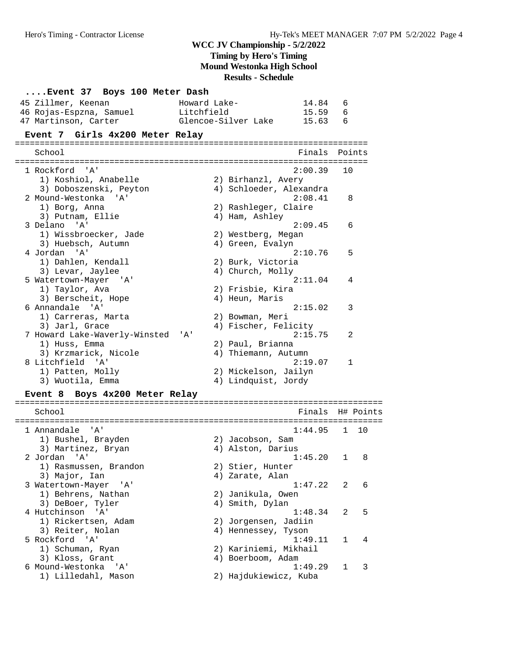**Results - Schedule**

| Event 37 Boys 100 Meter Dash                       |                     |                                             |           |
|----------------------------------------------------|---------------------|---------------------------------------------|-----------|
| 45 Zillmer, Keenan                                 | Howard Lake-        | 14.84                                       | 6         |
| 46 Rojas-Espzna, Samuel                            | Litchfield          | 15.59                                       | 6         |
| 47 Martinson, Carter                               | Glencoe-Silver Lake | 15.63                                       | 6         |
| Event 7 Girls 4x200 Meter Relay                    |                     |                                             |           |
| School                                             |                     | Finals                                      | Points    |
| 1 Rockford 'A'                                     |                     | 2:00.39                                     | 10        |
| 1) Koshiol, Anabelle                               |                     | 2) Birhanzl, Avery                          |           |
| 3) Doboszenski, Peyton                             |                     | 4) Schloeder, Alexandra                     |           |
| 2 Mound-Westonka<br>י A י                          |                     | 2:08.41                                     | 8         |
| 1) Borg, Anna                                      |                     | 2) Rashleger, Claire                        |           |
| 3) Putnam, Ellie                                   |                     | 4) Ham, Ashley                              |           |
| 3 Delano<br>' A '                                  |                     | 2:09.45                                     | 6         |
| 1) Wissbroecker, Jade                              |                     | 2) Westberg, Megan                          |           |
| 3) Huebsch, Autumn                                 |                     | 4) Green, Evalyn                            |           |
| 4 Jordan<br>'' A '                                 |                     | 2:10.76                                     | 5         |
| 1) Dahlen, Kendall                                 |                     | 2) Burk, Victoria                           |           |
| 3) Levar, Jaylee                                   |                     | 4) Church, Molly                            |           |
| 5 Watertown-Mayer<br>'' A '                        |                     | 2:11.04                                     | 4         |
| 1) Taylor, Ava                                     |                     | 2) Frisbie, Kira                            |           |
| 3) Berscheit, Hope                                 |                     | 4) Heun, Maris                              |           |
| 6 Annandale<br>" A '                               |                     | 2:15.02                                     | 3         |
| 1) Carreras, Marta                                 |                     | 2) Bowman, Meri                             |           |
| 3) Jarl, Grace                                     |                     | 4) Fischer, Felicity                        |           |
| 7 Howard Lake-Waverly-Winsted                      | 'A'                 | 2:15.75                                     | 2         |
| 1) Huss, Emma                                      |                     | 2) Paul, Brianna                            |           |
| 3) Krzmarick, Nicole<br>8 Litchfield 'A'           |                     | 4) Thiemann, Autumn<br>2:19.07              | 1         |
|                                                    |                     |                                             |           |
| 1) Patten, Molly                                   |                     | 2) Mickelson, Jailyn<br>4) Lindquist, Jordy |           |
| 3) Wuotila, Emma<br>Event 8 Boys 4x200 Meter Relay |                     |                                             |           |
|                                                    |                     |                                             |           |
| School                                             |                     | Finals                                      | H# Points |
| 1 Annandale 'A'                                    |                     | 1:44.95                                     | 1 10      |
| 1) Bushel, Brayden                                 |                     | 2) Jacobson, Sam                            |           |
| 3) Martinez, Bryan                                 |                     | 4) Alston, Darius                           |           |
| 2 Jordan 'A'                                       |                     | $1:45.20$ 1 8                               |           |
| 1) Rasmussen, Brandon                              |                     | 2) Stier, Hunter                            |           |
| 3) Major, Ian                                      |                     | 4) Zarate, Alan                             |           |
| 3 Watertown-Mayer 'A'                              |                     | 1:47.22                                     | 6<br>2    |
| 1) Behrens, Nathan                                 |                     | 2) Janikula, Owen                           |           |
| 3) DeBoer, Tyler                                   |                     | 4) Smith, Dylan                             |           |
| 4 Hutchinson<br>' A '                              |                     | 1:48.34                                     | 5<br>2    |
| 1) Rickertsen, Adam                                |                     | 2) Jorgensen, Jadiin                        |           |
| 3) Reiter, Nolan                                   |                     | 4) Hennessey, Tyson                         |           |
| 5 Rockford 'A'                                     |                     | 1:49.11                                     | 4<br>1    |
| 1) Schuman, Ryan                                   |                     | 2) Kariniemi, Mikhail                       |           |
| 3) Kloss, Grant                                    |                     | 4) Boerboom, Adam                           |           |
| 6 Mound-Westonka<br>' A '                          |                     | 1:49.29                                     | 3<br>1    |
| 1) Lilledahl, Mason                                |                     | 2) Hajdukiewicz, Kuba                       |           |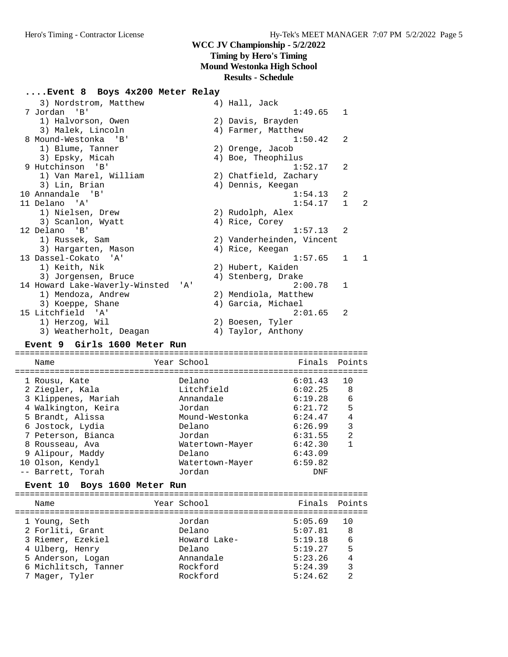## **Results - Schedule**

### **....Event 8 Boys 4x200 Meter Relay**

| 3) Nordstrom, Matthew                  | 4) Hall, Jack             |               |    |
|----------------------------------------|---------------------------|---------------|----|
| 7 Jordan<br>'B'                        | 1:49.65                   | 1             |    |
| 1) Halvorson, Owen                     | 2) Davis, Brayden         |               |    |
| 3) Malek, Lincoln                      | 4) Farmer, Matthew        |               |    |
| 8 Mound-Westonka 'B'                   | 1:50.42                   | 2             |    |
| 1) Blume, Tanner                       | 2) Orenge, Jacob          |               |    |
| 3) Epsky, Micah                        | 4) Boe, Theophilus        |               |    |
| 9 Hutchinson 'B'                       | 1:52.17                   | $\mathcal{L}$ |    |
| 1) Van Marel, William                  | 2) Chatfield, Zachary     |               |    |
| 3) Lin, Brian                          | 4) Dennis, Keegan         |               |    |
| 10 Annandale 'B'                       | 1:54.13                   | 2             |    |
| 11 Delano 'A'                          | 1:54.17                   | $\mathbf{1}$  | 2  |
| 1) Nielsen, Drew                       | 2) Rudolph, Alex          |               |    |
| 3) Scanlon, Wyatt                      | 4) Rice, Corey            |               |    |
| 12 Delano 'B'                          | 1:57.13                   | 2             |    |
| 1) Russek, Sam                         | 2) Vanderheinden, Vincent |               |    |
| 3) Hargarten, Mason                    | 4) Rice, Keegan           |               |    |
| 13 Dassel-Cokato 'A'                   | 1:57.65                   | $\mathbf{1}$  | -1 |
| 1) Keith, Nik                          | 2) Hubert, Kaiden         |               |    |
| 3) Jorgensen, Bruce                    | 4) Stenberg, Drake        |               |    |
| 14 Howard Lake-Waverly-Winsted<br>' A' | 2:00.78                   | 1             |    |
| 1) Mendoza, Andrew                     | 2) Mendiola, Matthew      |               |    |
| 3) Koeppe, Shane                       | 4) Garcia, Michael        |               |    |
| 15 Litchfield<br>$\overline{A}$        | 2:01.65                   | 2             |    |
| 1) Herzog, Wil                         | 2) Boesen, Tyler          |               |    |
| 3) Weatherholt, Deagan                 | 4) Taylor, Anthony        |               |    |

### **Event 9 Girls 1600 Meter Run**

======================================================================= Name Year School Finals Points ======================================================================= 1 Rousu, Kate Delano 6:01.43 10 2 Ziegler, Kala Litchfield 6:02.25 8 3 Klippenes, Mariah Annandale 6:19.28 6 4 Walkington, Keira Jordan 6:21.72 5 5 Brandt, Alissa Mound-Westonka 6:24.47 4 6 Jostock, Lydia Delano 6:26.99 3 7 Peterson, Bianca Jordan 6:31.55 2 8 Rousseau, Ava Watertown-Mayer 6:42.30 1 9 Alipour, Maddy Delano 6:43.09 10 Olson, Kendyl Watertown-Mayer 6:59.82 -- Barrett, Torah Jordan DNF

#### **Event 10 Boys 1600 Meter Run** =======================================================================

| Name                 | Year School  | Finals Points |    |
|----------------------|--------------|---------------|----|
| 1 Young, Seth        | Jordan       | 5:05.69       | 10 |
| 2 Forliti, Grant     | Delano       | 5:07.81       | 8  |
| 3 Riemer, Ezekiel    | Howard Lake- | 5:19.18       | 6  |
| 4 Ulberg, Henry      | Delano       | 5:19.27       | 5  |
| 5 Anderson, Logan    | Annandale    | 5:23.26       | 4  |
| 6 Michlitsch, Tanner | Rockford     | 5:24.39       | 3  |
| 7 Mager, Tyler       | Rockford     | 5:24.62       | っ  |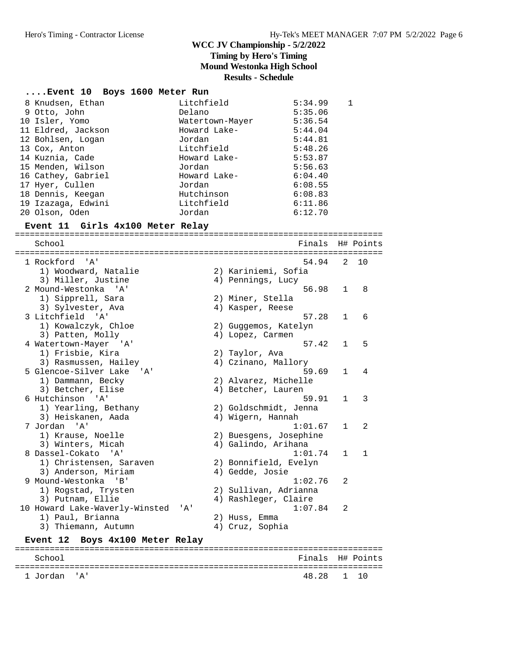#### **....Event 10 Boys 1600 Meter Run**

| 8 Knudsen, Ethan    |
|---------------------|
| 9 Otto, John        |
| 10 Isler, Yomo      |
| 11 Eldred, Jackson  |
| 12 Bohlsen, Logan   |
| 13 Cox, Anton       |
| 14 Kuznia, Cade     |
| 15 Menden, Wilson   |
| 16 Cathey, Gabriel  |
| 17 Hyer, Cullen     |
| 18 Dennis, Keegan   |
| 19 Izazaga, Edwini  |
| $20.01$ gon $0$ don |

1 Eitchfield 5:34.99 1<br>
Delano 5:35.06 9 Otto, John Delano 5:35.06 10 Isler, Yomo Watertown-Mayer 5:36.54 11 Eldred, Jackson Howard Lake- 5:44.04 12 Bohlsen, Logan Jordan 5:44.81 13 Cox, Anton Litchfield 5:48.26 14 Kuznia, Cade Howard Lake- 5:53.87 15 Menden, Wilson Jordan 5:56.63 16 Cathey, Gabriel Howard Lake- 6:04.40 17 Hyer, Cullen Jordan 6:08.55 18 Dennis, Keegan Hutchinson 6:08.83 19 Izazaga, Edwini Litchfield 6:11.86 20 Olson, Oden Jordan 6:12.70

### **Event 11 Girls 4x100 Meter Relay**

========================================================================== School Finals H# Points ========================================================================== 1 Rockford 'A' 54.94 2 10 1) Woodward, Natalie 2) Kariniemi, Sofia 3) Miller, Justine (4) Pennings, Lucy 2 Mound-Westonka 'A' 56.98 1 8 1) Sipprell, Sara 2) Miner, Stella 3) Sylvester, Ava (4) Kasper, Reese 3 Litchfield 'A' 57.28 1 6 1) Kowalczyk, Chloe 2) Guggemos, Katelyn 3) Patten, Molly (4) Lopez, Carmen 4 Watertown-Mayer 'A' 57.42 1 5 1) Frisbie, Kira 2) Taylor, Ava 3) Rasmussen, Hailey (4) Czinano, Mallory 5 Glencoe-Silver Lake 'A' 59.69 1 4 1) Dammann, Becky 2) Alvarez, Michelle Extracted Sirver Bake (1988)<br>
1) Dammann, Becky (2) Alvarez, Michelle<br>
3) Betcher, Elise (4) Betcher, Lauren<br>
4) Betcher, Lauren (59.91 (1990) 6 Hutchinson 'A' 59.91 1 3 1) Yearling, Bethany 2) Goldschmidt, Jenna 3) Heiskanen, Aada 4) Wigern, Hannah 7 Jordan 'A' 1:01.67 1 2 1) Krause, Noelle 2) Buesgens, Josephine 3) Winters, Micah (4) Galindo, Arihana 8 Dassel-Cokato 'A' 1:01.74 1 1 1) Christensen, Saraven 2) Bonnifield, Evelyn 3) Anderson, Miriam (4) Gedde, Josie 9 Mound-Westonka 'B' 1:02.76 2 1) Rogstad, Trysten 2) Sullivan, Adrianna 3) Putnam, Ellie 1988 (1988) Rashleger, Claire 10 Howard Lake-Waverly-Winsted 'A' 1:07.84 2 1) Paul, Brianna 2) Huss, Emma 3) Thiemann, Autumn (4) Cruz, Sophia **Event 12 Boys 4x100 Meter Relay**

========================================================================== School **Finals H# Points** ========================================================================== 1 Jordan 'A' 48.28 1 10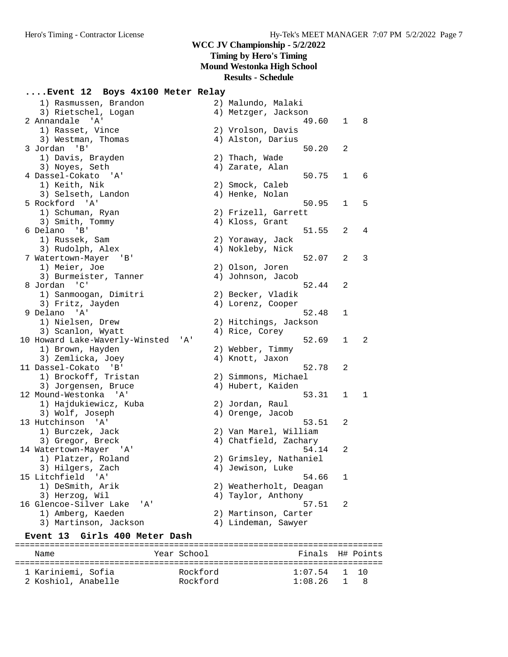# **....Event 12 Boys 4x100 Meter Relay**

| 1) Rasmussen, Brandon                                         | 2) Malundo, Malaki     |              |                         |
|---------------------------------------------------------------|------------------------|--------------|-------------------------|
| 3) Rietschel, Logan                                           | 4) Metzger, Jackson    |              |                         |
| 2 Annandale<br>'' A '                                         | 49.60                  | $\mathbf{1}$ | $\overline{\mathbf{8}}$ |
| 1) Rasset, Vince                                              | 2) Vrolson, Davis      |              |                         |
| 3) Westman, Thomas                                            | 4) Alston, Darius      |              |                         |
| 3 Jordan<br>'B'                                               | 50.20                  | 2            |                         |
| 1) Davis, Brayden                                             | 2) Thach, Wade         |              |                         |
| 3) Noyes, Seth                                                | 4) Zarate, Alan        |              |                         |
| 4 Dassel-Cokato 'A'                                           | 50.75                  | $\mathbf{1}$ | 6                       |
| 1) Keith, Nik                                                 | 2) Smock, Caleb        |              |                         |
| 3) Selseth, Landon                                            | 4) Henke, Nolan        |              |                         |
| 5 Rockford 'A'                                                | 50.95                  | $\mathbf{1}$ | 5                       |
| 1) Schuman, Ryan                                              | 2) Frizell, Garrett    |              |                         |
| 3) Smith, Tommy                                               | 4) Kloss, Grant        |              |                         |
| 6 Delano<br>'B'                                               | 51.55                  | 2            | 4                       |
| 1) Russek, Sam                                                | 2) Yoraway, Jack       |              |                         |
| 3) Rudolph, Alex                                              | 4) Nokleby, Nick       |              |                         |
| 7 Watertown-Mayer 'B'                                         | 52.07                  | 2            | 3                       |
| 1) Meier, Joe                                                 | 2) Olson, Joren        |              |                         |
| 3) Burmeister, Tanner                                         | 4) Johnson, Jacob      |              |                         |
| 8 Jordan<br>$\overline{\phantom{a}}$ $\overline{\phantom{a}}$ | 52.44                  | 2            |                         |
| 1) Sanmoogan, Dimitri                                         | 2) Becker, Vladik      |              |                         |
| 3) Fritz, Jayden                                              | 4) Lorenz, Cooper      |              |                         |
| 9 Delano 'A'                                                  | 52.48                  | 1            |                         |
| 1) Nielsen, Drew                                              | 2) Hitchings, Jackson  |              |                         |
| 3) Scanlon, Wyatt                                             | 4) Rice, Corey         |              |                         |
| 10 Howard Lake-Waverly-Winsted<br>'A'                         | 52.69                  | $\mathbf{1}$ | 2                       |
| 1) Brown, Hayden                                              | 2) Webber, Timmy       |              |                         |
| 3) Zemlicka, Joey                                             | 4) Knott, Jaxon        |              |                         |
| 11 Dassel-Cokato 'B'                                          | 52.78                  | 2            |                         |
| 1) Brockoff, Tristan                                          | 2) Simmons, Michael    |              |                         |
| 3) Jorgensen, Bruce                                           | 4) Hubert, Kaiden      |              |                         |
| 12 Mound-Westonka 'A'                                         | 53.31                  | $\mathbf{1}$ | $\mathbf{1}$            |
| 1) Hajdukiewicz, Kuba                                         | 2) Jordan, Raul        |              |                         |
| 3) Wolf, Joseph                                               | 4) Orenge, Jacob       |              |                         |
| 13 Hutchinson 'A'                                             | 53.51                  | 2            |                         |
| 1) Burczek, Jack                                              | 2) Van Marel, William  |              |                         |
| 3) Gregor, Breck                                              | 4) Chatfield, Zachary  |              |                         |
| 14 Watertown-Mayer 'A'                                        | 54.14                  | 2            |                         |
| 1) Platzer, Roland                                            | 2) Grimsley, Nathaniel |              |                         |
| 3) Hilgers, Zach                                              | 4) Jewison, Luke       |              |                         |
| 15 Litchfield 'A'                                             | 54.66                  | 1            |                         |
| 1) DeSmith, Arik                                              | 2) Weatherholt, Deagan |              |                         |
| 3) Herzog, Wil                                                | 4) Taylor, Anthony     |              |                         |
| 16 Glencoe-Silver Lake<br>' A '                               | 57.51                  | 2            |                         |
| 1) Amberg, Kaeden                                             | 2) Martinson, Carter   |              |                         |
| 3) Martinson, Jackson                                         | 4) Lindeman, Sawyer    |              |                         |
| Event 13 Girls 400 Meter Dash                                 |                        |              |                         |
|                                                               |                        |              |                         |

### ========================================================================== Name Year School Finals H# Points ========================================================================== 1 Kariniemi, Sofia Rockford 1:07.54 1 10 2 Koshiol, Anabelle Rockford 1:08.26 1 8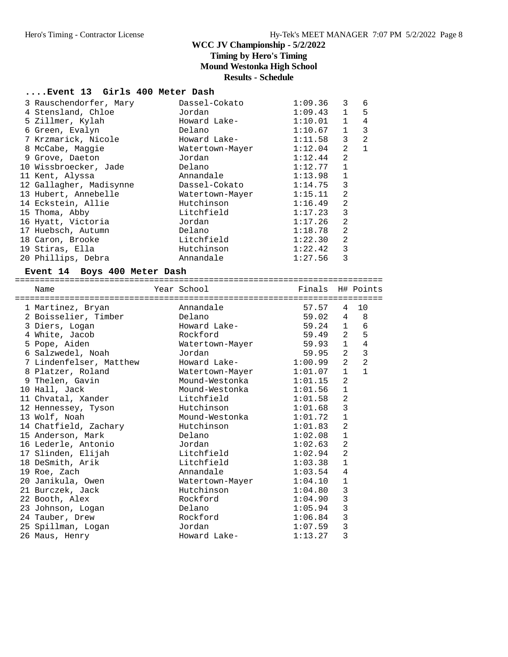# **....Event 13 Girls 400 Meter Dash**

| 3 Rauschendorfer, Mary  | Dassel-Cokato   | 1:09.36 | 3              | 6            |
|-------------------------|-----------------|---------|----------------|--------------|
| 4 Stensland, Chloe      | Jordan          | 1:09.43 | $\mathbf{1}$   | 5            |
| 5 Zillmer, Kylah        | Howard Lake-    | 1:10.01 | $\mathbf{1}$   | 4            |
| 6 Green, Evalyn         | Delano          | 1:10.67 | $\mathbf{1}$   | 3            |
| 7 Krzmarick, Nicole     | Howard Lake-    | 1:11.58 | 3              | 2            |
| 8 McCabe, Maggie        | Watertown-Mayer | 1:12.04 | 2              | $\mathbf{1}$ |
| 9 Grove, Daeton         | Jordan          | 1:12.44 | 2              |              |
| 10 Wissbroecker, Jade   | Delano          | 1:12.77 | $\mathbf{1}$   |              |
| 11 Kent, Alyssa         | Annandale       | 1:13.98 | $\mathbf{1}$   |              |
| 12 Gallagher, Madisynne | Dassel-Cokato   | 1:14.75 | 3              |              |
| 13 Hubert, Annebelle    | Watertown-Mayer | 1:15.11 | 2              |              |
| 14 Eckstein, Allie      | Hutchinson      | 1:16.49 | $\overline{2}$ |              |
| 15 Thoma, Abby          | Litchfield      | 1:17.23 | 3              |              |
| 16 Hyatt, Victoria      | Jordan          | 1:17.26 | $\overline{a}$ |              |
| 17 Huebsch, Autumn      | Delano          | 1:18.78 | $\overline{a}$ |              |
| 18 Caron, Brooke        | Litchfield      | 1:22.30 | 2              |              |
| 19 Stiras, Ella         | Hutchinson      | 1:22.42 | 3              |              |
| 20 Phillips, Debra      | Annandale       | 1:27.56 | 3              |              |

### **Event 14 Boys 400 Meter Dash**

========================================================================== Name The Year School The Finals H# Points ========================================================================== 1 Martinez, Bryan Annandale 57.57 4 10 2 Boisselier, Timber Delano 59.02 4 8 3 Diers, Logan Howard Lake- 59.24 1 6

| $L = L L$          |                                                                                                                                                                                                                                                                                                                                                                                            |                                                     |                                                                         |                                                                                                                                                                                                                                                           |
|--------------------|--------------------------------------------------------------------------------------------------------------------------------------------------------------------------------------------------------------------------------------------------------------------------------------------------------------------------------------------------------------------------------------------|-----------------------------------------------------|-------------------------------------------------------------------------|-----------------------------------------------------------------------------------------------------------------------------------------------------------------------------------------------------------------------------------------------------------|
|                    | Rockford                                                                                                                                                                                                                                                                                                                                                                                   |                                                     | 2                                                                       | 5                                                                                                                                                                                                                                                         |
|                    |                                                                                                                                                                                                                                                                                                                                                                                            |                                                     | $1 \quad$                                                               | 4                                                                                                                                                                                                                                                         |
|                    | Jordan                                                                                                                                                                                                                                                                                                                                                                                     |                                                     | $\overline{2}$                                                          | $\overline{3}$                                                                                                                                                                                                                                            |
|                    | Howard Lake-                                                                                                                                                                                                                                                                                                                                                                               |                                                     | $2^{\circ}$                                                             | $\overline{2}$                                                                                                                                                                                                                                            |
|                    |                                                                                                                                                                                                                                                                                                                                                                                            |                                                     | $\mathbf{1}$                                                            | $\mathbf{1}$                                                                                                                                                                                                                                              |
|                    | Mound-Westonka                                                                                                                                                                                                                                                                                                                                                                             |                                                     | 2                                                                       |                                                                                                                                                                                                                                                           |
|                    |                                                                                                                                                                                                                                                                                                                                                                                            |                                                     | $\mathbf{1}$                                                            |                                                                                                                                                                                                                                                           |
|                    |                                                                                                                                                                                                                                                                                                                                                                                            |                                                     | $\overline{a}$                                                          |                                                                                                                                                                                                                                                           |
|                    | Hutchinson                                                                                                                                                                                                                                                                                                                                                                                 |                                                     | 3                                                                       |                                                                                                                                                                                                                                                           |
|                    | Mound-Westonka                                                                                                                                                                                                                                                                                                                                                                             |                                                     | $\mathbf 1$                                                             |                                                                                                                                                                                                                                                           |
|                    | Hutchinson                                                                                                                                                                                                                                                                                                                                                                                 |                                                     | $\overline{a}$                                                          |                                                                                                                                                                                                                                                           |
|                    | Delano                                                                                                                                                                                                                                                                                                                                                                                     |                                                     | $1\,$                                                                   |                                                                                                                                                                                                                                                           |
|                    | Jordan                                                                                                                                                                                                                                                                                                                                                                                     |                                                     | $\overline{2}$                                                          |                                                                                                                                                                                                                                                           |
|                    |                                                                                                                                                                                                                                                                                                                                                                                            |                                                     | $\overline{2}$                                                          |                                                                                                                                                                                                                                                           |
|                    | Litchfield                                                                                                                                                                                                                                                                                                                                                                                 |                                                     | $\mathbf{1}$                                                            |                                                                                                                                                                                                                                                           |
|                    | Annandale                                                                                                                                                                                                                                                                                                                                                                                  |                                                     | $\overline{4}$                                                          |                                                                                                                                                                                                                                                           |
|                    |                                                                                                                                                                                                                                                                                                                                                                                            |                                                     | $\mathbf{1}$                                                            |                                                                                                                                                                                                                                                           |
|                    | Hutchinson                                                                                                                                                                                                                                                                                                                                                                                 |                                                     |                                                                         |                                                                                                                                                                                                                                                           |
|                    | Rockford                                                                                                                                                                                                                                                                                                                                                                                   |                                                     |                                                                         |                                                                                                                                                                                                                                                           |
|                    | Delano                                                                                                                                                                                                                                                                                                                                                                                     |                                                     | 3                                                                       |                                                                                                                                                                                                                                                           |
|                    |                                                                                                                                                                                                                                                                                                                                                                                            |                                                     |                                                                         |                                                                                                                                                                                                                                                           |
| 24 Tauber, Drew    | Rockford                                                                                                                                                                                                                                                                                                                                                                                   |                                                     |                                                                         |                                                                                                                                                                                                                                                           |
| 25 Spillman, Logan | Jordan                                                                                                                                                                                                                                                                                                                                                                                     | 1:07.59                                             | 3<br>3                                                                  |                                                                                                                                                                                                                                                           |
|                    | 4 White, Jacob<br>5 Pope, Aiden<br>6 Salzwedel, Noah<br>8 Platzer, Roland<br>9 Thelen, Gavin<br>10 Hall, Jack<br>11 Chvatal, Xander<br>12 Hennessey, Tyson<br>13 Wolf, Noah<br>14 Chatfield, Zachary<br>15 Anderson, Mark<br>16 Lederle, Antonio<br>17 Slinden, Elijah<br>18 DeSmith, Arik<br>19 Roe, Zach<br>20 Janikula, Owen<br>21 Burczek, Jack<br>22 Booth, Alex<br>23 Johnson, Logan | 7 Lindenfelser, Matthew<br>Litchfield<br>Litchfield | Watertown-Mayer<br>Watertown-Mayer<br>Mound-Westonka<br>Watertown-Mayer | 59.49<br>59.93<br>59.95<br>1:00.99<br>1:01.07<br>1:01.15<br>1:01.56<br>1:01.58<br>1:01.68<br>1:01.72<br>1:01.83<br>1:02.08<br>1:02.63<br>1:02.94<br>1:03.38<br>1:03.54<br>1:04.10<br>3<br>1:04.80<br>3<br>1:04.90<br>1:05.94<br>$\overline{3}$<br>1:06.84 |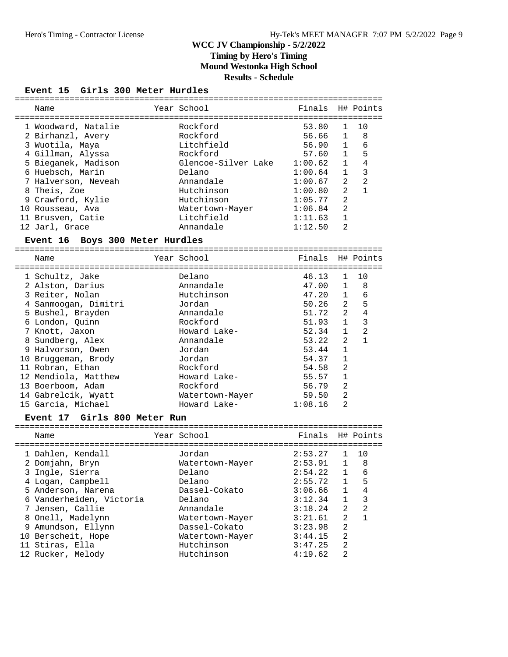### **Event 15 Girls 300 Meter Hurdles**

| Name                | Year School         | Finals H# Points |                |                |
|---------------------|---------------------|------------------|----------------|----------------|
| 1 Woodward, Natalie | Rockford            | 53.80            | $\mathbf{1}$   | 10             |
| 2 Birhanzl, Avery   | Rockford            | 56.66 1          |                | - 8            |
| 3 Wuotila, Maya     | Litchfield          | 56.90            | $\mathbf{1}$   | 6              |
| 4 Gillman, Alyssa   | Rockford            | 57.60            | $\mathbf{1}$   | - 5            |
| 5 Bieganek, Madison | Glencoe-Silver Lake | 1:00.62          | $\overline{1}$ | $\overline{4}$ |
| 6 Huebsch, Marin    | Delano              | 1:00.64          | $\mathbf{1}$   | 3              |
| 7 Halverson, Neveah | Annandale           | 1:00.67          | $2^{1}$        | $\overline{2}$ |
| 8 Theis, Zoe        | Hutchinson          | 1:00.80          | $\mathcal{L}$  | $\overline{1}$ |
| 9 Crawford, Kylie   | Hutchinson          | 1:05.77          | $\mathfrak{D}$ |                |
| 10 Rousseau, Ava    | Watertown-Mayer     | 1:06.84          | $\mathfrak{D}$ |                |
| 11 Brusven, Catie   | Litchfield          | 1:11.63          |                |                |
| 12 Jarl, Grace      | Annandale           | 1:12.50          | $\mathfrak{D}$ |                |

#### **Event 16 Boys 300 Meter Hurdles**

==========================================================================

| Name                 | Year School     | Finals  |                | H# Points      |
|----------------------|-----------------|---------|----------------|----------------|
| 1 Schultz, Jake      | Delano          | 46.13   | $\mathbf{1}$   | 10             |
| 2 Alston, Darius     | Annandale       | 47.00   | 1              | 8              |
| 3 Reiter, Nolan      | Hutchinson      | 47.20   | $\mathbf{1}$   | 6              |
| 4 Sanmoogan, Dimitri | Jordan          | 50.26   | $\mathfrak{D}$ | 5              |
| 5 Bushel, Brayden    | Annandale       | 51.72   | $\mathfrak{D}$ | 4              |
| 6 London, Quinn      | Rockford        | 51.93   | $\mathbf{1}$   | 3              |
| 7 Knott, Jaxon       | Howard Lake-    | 52.34   | $\mathbf{1}$   | $\mathfrak{D}$ |
| 8 Sundberg, Alex     | Annandale       | 53.22   | $\mathfrak{D}$ |                |
| 9 Halvorson, Owen    | Jordan          | 53.44   | $\mathbf{1}$   |                |
| 10 Bruggeman, Brody  | Jordan          | 54.37   | $\mathbf{1}$   |                |
| 11 Robran, Ethan     | Rockford        | 54.58   | $\mathfrak{D}$ |                |
| 12 Mendiola, Matthew | Howard Lake-    | 55.57   | 1              |                |
| 13 Boerboom, Adam    | Rockford        | 56.79   | 2              |                |
| 14 Gabrelcik, Wyatt  | Watertown-Mayer | 59.50   | 2              |                |
| 15 Garcia, Michael   | Howard Lake-    | 1:08.16 | $\mathfrak{D}$ |                |

#### **Event 17 Girls 800 Meter Run**

========================================================================== Name Year School Finals H# Points

| Ndilie |                                                                                                                                                                                                                                                             |                 | F 111d 15   |                | H# POINCS      |
|--------|-------------------------------------------------------------------------------------------------------------------------------------------------------------------------------------------------------------------------------------------------------------|-----------------|-------------|----------------|----------------|
|        |                                                                                                                                                                                                                                                             | Jordan          | 2:53.27     |                | 10             |
|        |                                                                                                                                                                                                                                                             | Watertown-Mayer | 2:53.91     | 1              | 8              |
|        |                                                                                                                                                                                                                                                             | Delano          | 2:54.22     | $\mathbf{1}$   | 6              |
|        |                                                                                                                                                                                                                                                             | Delano          | 2:55.72     | $\mathbf{1}$   | 5              |
|        |                                                                                                                                                                                                                                                             | Dassel-Cokato   | 3:06.66     | $\mathbf{1}$   | 4              |
|        |                                                                                                                                                                                                                                                             | Delano          | 3:12.34     | $\mathbf{1}$   | 3              |
|        |                                                                                                                                                                                                                                                             | Annandale       |             | $\mathcal{L}$  | $\mathfrak{D}$ |
|        |                                                                                                                                                                                                                                                             | Watertown-Mayer | 3:21.61     | 2              |                |
|        |                                                                                                                                                                                                                                                             | Dassel-Cokato   | 3:23.98     | 2              |                |
|        |                                                                                                                                                                                                                                                             | Watertown-Mayer | 3:44.15     | 2              |                |
|        |                                                                                                                                                                                                                                                             | Hutchinson      | 3:47.25     | $\mathfrak{D}$ |                |
|        |                                                                                                                                                                                                                                                             | Hutchinson      | 4:19.62     | $\mathfrak{D}$ |                |
|        | 1 Dahlen, Kendall<br>2 Domjahn, Bryn<br>3 Ingle, Sierra<br>4 Logan, Campbell<br>5 Anderson, Narena<br>6 Vanderheiden, Victoria<br>7 Jensen, Callie<br>8 Onell, Madelynn<br>9 Amundson, Ellynn<br>10 Berscheit, Hope<br>11 Stiras, Ella<br>12 Rucker, Melody |                 | IEAL DCHOOT |                | 3:18.24        |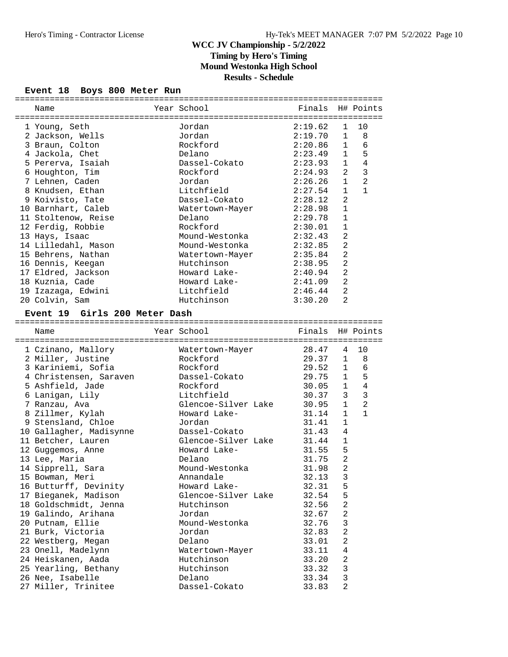## **Results - Schedule**

# **Event 18 Boys 800 Meter Run**

| Name                                     | Year School                         | Finals             |                | H# Points      |
|------------------------------------------|-------------------------------------|--------------------|----------------|----------------|
| 1 Young, Seth                            | Jordan                              | 2:19.62            | $\mathbf{1}$   | 10             |
| 2 Jackson, Wells                         | Jordan                              | 2:19.70            | $\mathbf{1}$   | 8              |
| 3 Braun, Colton                          | Rockford                            | 2:20.86            | $\mathbf{1}$   | 6              |
| 4 Jackola, Chet                          | Delano                              | 2:23.49            | $\mathbf{1}$   | 5              |
| 5 Pererva, Isaiah                        | Dassel-Cokato                       | 2:23.93            | $\mathbf{1}$   | 4              |
| 6 Houghton, Tim                          | Rockford                            | 2:24.93            | 2              | $\mathbf{3}$   |
| 7 Lehnen, Caden                          | Jordan                              | 2:26.26            | $\mathbf{1}$   | $\overline{a}$ |
|                                          | Litchfield                          | 2:27.54            | $\mathbf{1}$   | $\mathbf{1}$   |
| 8 Knudsen, Ethan                         | Dassel-Cokato                       |                    | 2              |                |
| 9 Koivisto, Tate<br>10 Barnhart, Caleb   |                                     | 2:28.12            | $\mathbf{1}$   |                |
|                                          | Watertown-Mayer<br>Delano           | 2:28.98<br>2:29.78 | $\mathbf{1}$   |                |
| 11 Stoltenow, Reise                      |                                     |                    | $\mathbf{1}$   |                |
| 12 Ferdig, Robbie                        | Rockford                            | 2:30.01            | 2              |                |
| 13 Hays, Isaac                           | Mound-Westonka                      | 2:32.43            | 2              |                |
| 14 Lilledahl, Mason                      | Mound-Westonka                      | 2:32.85            |                |                |
| 15 Behrens, Nathan                       | Watertown-Mayer                     | 2:35.84            | $\overline{2}$ |                |
| 16 Dennis, Keegan                        | Hutchinson                          | 2:38.95            | $\overline{a}$ |                |
| 17 Eldred, Jackson                       | Howard Lake-                        | 2:40.94            | $\overline{2}$ |                |
| 18 Kuznia, Cade                          | Howard Lake-                        | 2:41.09            | 2              |                |
| 19 Izazaga, Edwini                       | Litchfield                          | 2:46.44            | 2              |                |
| 20 Colvin, Sam                           | Hutchinson                          | 3:30.20            | 2              |                |
| Event 19 Girls 200 Meter Dash            |                                     |                    |                |                |
| Name                                     | Year School                         | Finals H# Points   |                |                |
|                                          |                                     |                    |                |                |
|                                          |                                     |                    |                |                |
|                                          | Watertown-Mayer                     | 28.47              | 4              | 10             |
| 1 Czinano, Mallory<br>2 Miller, Justine  | Rockford                            |                    | $\mathbf{1}$   | 8              |
| 3 Kariniemi, Sofia                       | Rockford                            | 29.37<br>29.52     | $\mathbf{1}$   | 6              |
|                                          | Dassel-Cokato                       | 29.75              | $\mathbf{1}$   | 5              |
| 4 Christensen, Saraven                   | Rockford                            |                    | $\mathbf{1}$   | 4              |
| 5 Ashfield, Jade                         | Litchfield                          | 30.05<br>30.37     | 3              | $\mathbf{3}$   |
| 6 Lanigan, Lily                          |                                     |                    | $\mathbf{1}$   | $\overline{2}$ |
| 7 Ranzau, Ava                            | Glencoe-Silver Lake<br>Howard Lake- | 30.95              | $\mathbf{1}$   | $\mathbf{1}$   |
| 8 Zillmer, Kylah                         | Jordan                              | 31.14              | $\mathbf{1}$   |                |
| 9 Stensland, Chloe                       | Dassel-Cokato                       | 31.41              | 4              |                |
| 10 Gallagher, Madisynne                  | Glencoe-Silver Lake                 | 31.43              | $\mathbf{1}$   |                |
| 11 Betcher, Lauren                       | Howard Lake-                        | 31.44<br>31.55     | 5              |                |
| 12 Guggemos, Anne                        |                                     | 31.75              | $\overline{2}$ |                |
| 13 Lee, Maria                            | Delano                              |                    |                |                |
| 14 Sipprell, Sara                        | Mound-Westonka                      | 31.98              | $\overline{c}$ |                |
| 15 Bowman, Meri                          | Annandale                           | 32.13              | 3              |                |
| 16 Butturff, Devinity                    | Howard Lake-                        | 32.31              | 5              |                |
| 17 Bieganek, Madison                     | Glencoe-Silver Lake                 | 32.54              | 5              |                |
| 18 Goldschmidt, Jenna                    | Hutchinson                          | 32.56              | 2              |                |
| 19 Galindo, Arihana                      | Jordan                              | 32.67              | 2              |                |
| 20 Putnam, Ellie                         | Mound-Westonka<br>Jordan            | 32.76<br>32.83     | 3<br>2         |                |
| 21 Burk, Victoria                        | Delano                              |                    |                |                |
| 22 Westberg, Megan                       |                                     | 33.01              | 2              |                |
| 23 Onell, Madelynn                       | Watertown-Mayer                     | 33.11              | 4              |                |
| 24 Heiskanen, Aada                       | Hutchinson                          | 33.20              | 2              |                |
| 25 Yearling, Bethany<br>26 Nee, Isabelle | Hutchinson<br>Delano                | 33.32<br>33.34     | 3<br>3         |                |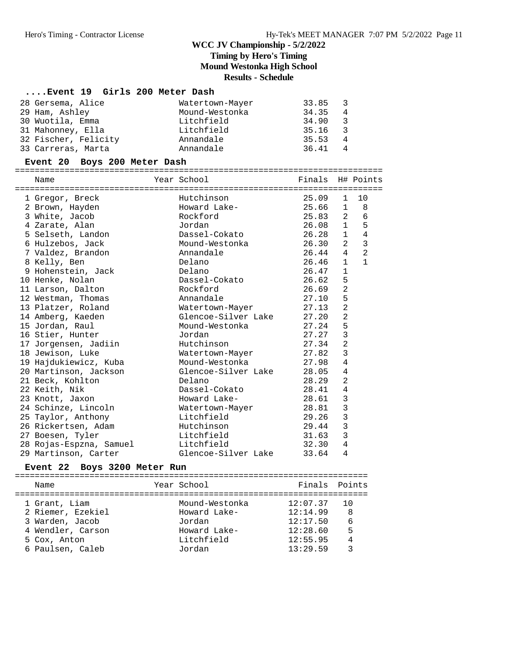#### **....Event 19 Girls 200 Meter Dash**

| 28 Gersema, Alice    | Watertown-Mayer | 33.85 | -3           |
|----------------------|-----------------|-------|--------------|
| 29 Ham, Ashley       | Mound-Westonka  | 34.35 | 4            |
| 30 Wuotila, Emma     | Litchfield      | 34.90 | - 3          |
| 31 Mahonney, Ella    | Litchfield      | 35.16 | $\mathbf{3}$ |
| 32 Fischer, Felicity | Annandale       | 35.53 | 4            |
| 33 Carreras, Marta   | Annandale       | 36.41 | 4            |

### **Event 20 Boys 200 Meter Dash**

==========================================================================

| Name                               | Year School               | Finals    |                         | H# Points                    |
|------------------------------------|---------------------------|-----------|-------------------------|------------------------------|
| 1 Gregor, Breck                    | Hutchinson                | 25.09     | $\mathbf{1}$            | 10                           |
| 2 Brown, Hayden                    | Howard Lake-              | 25.66     | $\mathbf{1}$            | 8                            |
| 3 White, Jacob                     | Rockford                  | 25.83     |                         | $\epsilon$<br>$\overline{2}$ |
| 4 Zarate, Alan                     | Jordan                    | $26.08$ 1 |                         | 5                            |
| 5 Selseth, Landon                  | Dassel-Cokato             | 26.28     | $\mathbf{1}$            | $\overline{4}$               |
| 6 Hulzebos, Jack                   | Mound-Westonka            | 26.30     | 2                       | $\overline{3}$               |
| 7 Valdez, Brandon                  | Annandale                 | 26.44     | $\overline{4}$          | $\overline{2}$               |
| 8 Kelly, Ben                       | Delano                    | 26.46     | $\mathbf{1}$            | $\mathbf{1}$                 |
| 9 Hohenstein, Jack                 | Delano                    | 26.47     | $\mathbf{1}$            |                              |
| 10 Henke, Nolan                    | Dassel-Cokato             | 26.62     | 5                       |                              |
| 11 Larson, Dalton                  | Rockford                  | 26.69     | $\overline{2}$          |                              |
| 12 Westman, Thomas                 | Annandale                 | 27.10     | 5                       |                              |
| 13 Platzer, Roland                 | Watertown-Mayer 27.13     |           | $\overline{2}$          |                              |
| 14 Amberg, Kaeden                  | Glencoe-Silver Lake 27.20 |           | $\overline{2}$          |                              |
| 15 Jordan, Raul                    | Mound-Westonka            | 27.24     | 5                       |                              |
| 16 Stier, Hunter                   | Jordan                    | 27.27     | $\overline{3}$          |                              |
| 17 Jorgensen, Jadiin               | Hutchinson                | 27.34     | $\overline{a}$          |                              |
| 18 Jewison, Luke                   | Watertown-Mayer 27.82     |           | $\overline{3}$          |                              |
| 19 Hajdukiewicz, Kuba              | Mound-Westonka            | 27.98     | $\overline{4}$          |                              |
| 20 Martinson, Jackson              | Glencoe-Silver Lake 28.05 |           | $\overline{4}$          |                              |
| 21 Beck, Kohlton                   | Delano                    | 28.29     | $\overline{2}$          |                              |
| 22 Keith, Nik                      | Dassel-Cokato             | 28.41     | 4                       |                              |
| 23 Knott, Jaxon                    | Howard Lake-              | 28.61     | $\mathbf{3}$            |                              |
| 24 Schinze, Lincoln                | Watertown-Mayer           | 28.81     | $\overline{3}$          |                              |
| 25 Taylor, Anthony                 | Litchfield                | 29.26     | $\overline{\mathbf{3}}$ |                              |
| 26 Rickertsen, Adam                | Hutchinson                | 29.44     | $\overline{\mathbf{3}}$ |                              |
| 27 Boesen, Tyler                   | Litchfield                | 31.63     | $\overline{3}$          |                              |
| 28 Rojas-Espzna, Samuel Litchfield |                           | 32.30     | $\overline{4}$          |                              |
| 29 Martinson, Carter               | Glencoe-Silver Lake       | 33.64     | 4                       |                              |

## **Event 22 Boys 3200 Meter Run**

======================================================================= Name The Year School The Finals Points ======================================================================= 1 Grant, Liam Mound-Westonka 12:07.37 10 2 Riemer, Ezekiel Howard Lake- 12:14.99 8 3 Warden, Jacob Jordan 12:17.50 6 4 Wendler, Carson Howard Lake- 12:28.60 5 5 Cox, Anton Litchfield 12:55.95 4 6 Paulsen, Caleb Jordan 13:29.59 3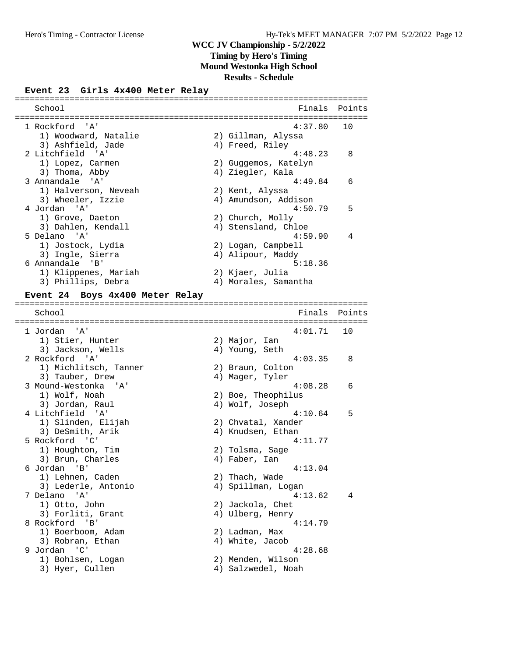### **Results - Schedule**

### **Event 23 Girls 4x400 Meter Relay**

======================================================================= School **Finals** Points ======================================================================= 1 Rockford 'A' 4:37.80 10 1) Woodward, Natalie 2) Gillman, Alyssa 3) Ashfield, Jade (4) 4) Freed, Riley 2 Litchfield 'A' 4:48.23 8 1) Lopez, Carmen 2) Guggemos, Katelyn 3) Thoma, Abby  $4)$  Ziegler, Kala 3 Annandale 'A' 4:49.84 6 1) Halverson, Neveah 2) Kent, Alyssa 3) Wheeler, Izzie  $4)$  Amundson, Addison 4 Jordan 'A' 4:50.79 5 1) Grove, Daeton 2) Church, Molly 3) Dahlen, Kendall 4) Stensland, Chloe 5 Delano 'A' 4:59.90 4 1) Jostock, Lydia 2) Logan, Campbell 3) Ingle, Sierra (1988) 4) Alipour, Maddy 6 Annandale 'B' 5:18.36 1) Klippenes, Mariah 2) Kjaer, Julia 3) Phillips, Debra 4) Morales, Samantha **Event 24 Boys 4x400 Meter Relay** ======================================================================= School **Finals** Points **Points** ======================================================================= 1 Jordan 'A' 1) Stier, Hunter (2) Major, Ian 3) Jackson, Wells (4) Young, Seth 2 Rockford 'A' 4:03.35 8 1) Michlitsch, Tanner (2) Braun, Colton 3) Tauber, Drew  $\begin{array}{ccc} 4 & \text{Mager, Tyler} \end{array}$  3 Mound-Westonka 'A' 4:08.28 6 1) Wolf, Noah 2) Boe, Theophilus 3) Jordan, Raul (4) Wolf, Joseph 4 Litchfield 'A' 4:10.64 5 1) Slinden, Elijah 2) Chvatal, Xander 3) DeSmith, Arik (4) Knudsen, Ethan 5 Rockford 'C' 4:11.77 1) Houghton, Tim 2) Tolsma, Sage 3) Brun, Charles (4) Faber, Ian 6 Jordan 'B' 4:13.04 1) Lehnen, Caden 2) Thach, Wade 3) Lederle, Antonio 4) Spillman, Logan 7 Delano 'A' 4:13.62 4 1) Otto, John 2) Jackola, Chet 3) Forliti, Grant (4) Ulberg, Henry 8 Rockford 'B' 4:14.79 1) Boerboom, Adam 2) Ladman, Max 1) Boerboom, Addin (1992)<br>3) Robran, Ethan (1994) White, Jacob 9 Jordan 'C' 4:28.68 1) Bohlsen, Logan 2) Menden, Wilson 3) Hyer, Cullen (4) Salzwedel, Noah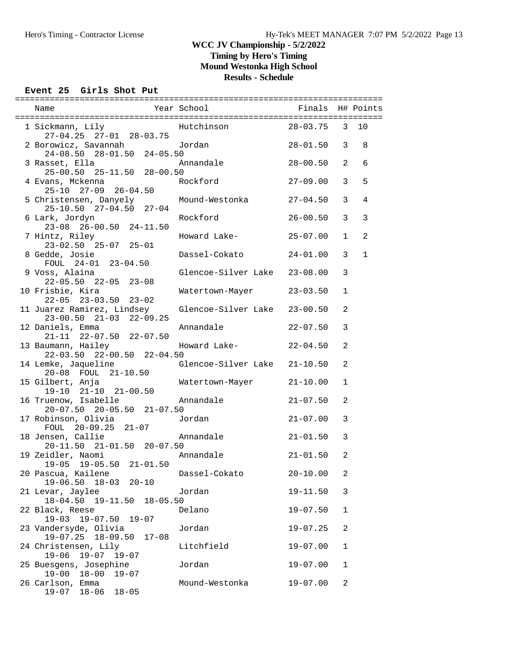**Timing by Hero's Timing**

**Mound Westonka High School**

**Results - Schedule**

**Event 25 Girls Shot Put**

| $27-04.25$ $27-01$ $28-03.75$                                           |                              |                |                | 10           |
|-------------------------------------------------------------------------|------------------------------|----------------|----------------|--------------|
| 2 Borowicz, Savannah<br>$24-08.50$ $28-01.50$ $24-05.50$                | Jordan                       | $28 - 01.50$ 3 |                | 8            |
| 3 Rasset, Ella                                                          | Annandale                    | $28 - 00.50$ 2 |                | 6            |
| 25-00.50 25-11.50 28-00.50                                              |                              |                |                |              |
|                                                                         |                              |                | 3              | 5            |
| 4 Evans, Mckenna                                                        | Rockford                     | 27-09.00       |                |              |
| 25-10 27-09 26-04.50                                                    |                              |                |                |              |
| 5 Christensen, Danyely Mound-Westonka                                   |                              | $27 - 04.50$   | 3              | 4            |
| 25-10.50 27-04.50 27-04                                                 |                              |                |                |              |
| 6 Lark, Jordyn                                                          | Rockford                     | $26 - 00.50$   | 3              | 3            |
| 23-08 26-00.50 24-11.50                                                 |                              |                |                |              |
| 7 Hintz, Riley                                                          | Howard Lake-                 | $25 - 07.00$   | $\mathbf{1}$   | 2            |
| $23 - 02.50$ $25 - 07$ $25 - 01$                                        |                              |                |                |              |
| 8 Gedde, Josie                                                          | Dassel-Cokato                | $24 - 01.00$   | 3              | $\mathbf{1}$ |
| FOUL 24-01 23-04.50                                                     |                              |                |                |              |
| 9 Voss, Alaina                                                          | Glencoe-Silver Lake 23-08.00 |                | 3              |              |
|                                                                         |                              |                |                |              |
| $22 - 05.50$ $22 - 05$ $23 - 08$                                        |                              |                |                |              |
| 10 Frisbie, Kira                                                        | Watertown-Mayer              | $23 - 03.50$   | $\mathbf{1}$   |              |
| $22 - 05$ $23 - 03.50$ $23 - 02$                                        |                              |                |                |              |
| 11 Juarez Ramirez, Lindsey Glencoe-Silver Lake 23-00.50                 |                              |                | 2              |              |
| 23-00.50 21-03 22-09.25                                                 |                              |                |                |              |
| 12 Daniels, Emma                                                        | Annandale                    | $22 - 07.50$   | 3              |              |
| 21-11 22-07.50 22-07.50                                                 |                              |                |                |              |
| 13 Baumann, Hailey <b>Baumann</b> , Hailey <b>Baumann</b> , Hailey      |                              |                | $\overline{a}$ |              |
| 22-03.50 22-00.50 22-04.50                                              |                              |                |                |              |
|                                                                         |                              |                | 2              |              |
| 14 Lemke, Jaqueline Glencoe-Silver Lake 21-10.50<br>20-08 FOUL 21-10.50 |                              |                |                |              |
| 15 Gilbert, Anja                                                        | Watertown-Mayer              | $21 - 10.00$   | $\mathbf{1}$   |              |
|                                                                         |                              |                |                |              |
| 19-10 21-10 21-00.50                                                    |                              |                |                |              |
| 16 Truenow, Isabelle                                                    | Annandale                    | $21 - 07.50$   | $\overline{a}$ |              |
| $20-07.50$ $20-05.50$ $21-07.50$                                        |                              |                |                |              |
| 17 Robinson, Olivia                                                     | Jordan                       | $21 - 07.00$   | 3              |              |
| FOUL 20-09.25 21-07                                                     |                              |                |                |              |
| 18 Jensen, Callie                                                       | Annandale                    | $21 - 01.50$   | 3              |              |
| 20-11.50 21-01.50 20-07.50                                              |                              |                |                |              |
| 19 Zeidler, Naomi Mannandale                                            |                              | $21 - 01.50$   | $\overline{a}$ |              |
| 19-05 19-05.50 21-01.50                                                 |                              |                |                |              |
| 20 Pascua, Kailene                                                      | Dassel-Cokato                | $20 - 10.00$   | 2              |              |
| $19 - 06.50$ $18 - 03$<br>$20 - 10$                                     |                              |                |                |              |
| 21 Levar, Jaylee                                                        | Jordan                       | $19 - 11.50$   | 3              |              |
| $18-04.50$ $19-11.50$<br>$18 - 05.50$                                   |                              |                |                |              |
|                                                                         |                              |                |                |              |
| 22 Black, Reese                                                         | Delano                       | $19 - 07.50$   | 1              |              |
| 19-03 19-07.50 19-07                                                    |                              |                |                |              |
| 23 Vandersyde, Olivia                                                   | Jordan                       | $19 - 07.25$   | $\overline{a}$ |              |
| 19-07.25 18-09.50 17-08                                                 |                              |                |                |              |
| 24 Christensen, Lily                                                    | Litchfield                   | $19 - 07.00$   | 1              |              |
| $19 - 06$<br>19-07 19-07                                                |                              |                |                |              |
| 25 Buesgens, Josephine                                                  | Jordan                       | $19 - 07.00$   | 1              |              |
| $19 - 00$ $18 - 00$<br>$19 - 07$                                        |                              |                |                |              |
| 26 Carlson, Emma                                                        | Mound-Westonka               | $19 - 07.00$   | 2              |              |
| 19-07 18-06 18-05                                                       |                              |                |                |              |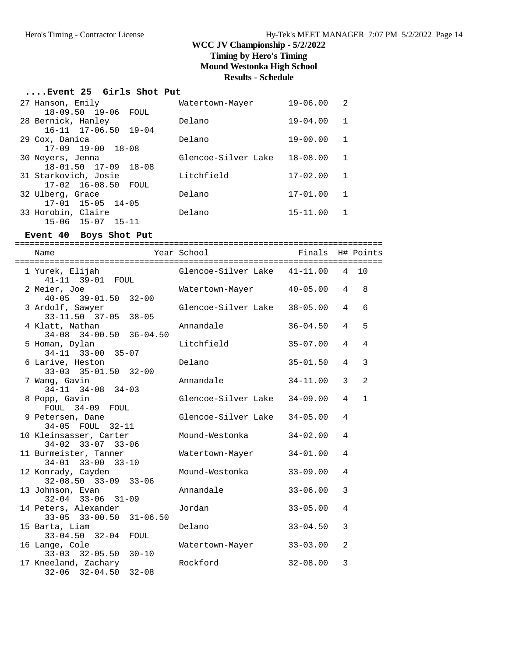# **WCC JV Championship - 5/2/2022 Timing by Hero's Timing**

**Mound Westonka High School**

# **Results - Schedule**

### **....Event 25 Girls Shot Put**

| 27 Hanson, Emily                    | Watertown-Mayer     | $19 - 06.00$ | 2            |
|-------------------------------------|---------------------|--------------|--------------|
| $18 - 09.50$ $19 - 06$<br>FOUL      |                     |              |              |
| 28 Bernick, Hanley                  | Delano              | $19 - 04.00$ | $\mathbf{1}$ |
| $16-11$ $17-06.50$ $19-04$          |                     |              |              |
| 29 Cox, Danica                      | Delano              | $19 - 00.00$ | $\mathbf{1}$ |
| $17-09$ $19-00$ $18-08$             |                     |              |              |
| 30 Neyers, Jenna                    | Glencoe-Silver Lake | $18 - 08.00$ | -1           |
| $18 - 01.50$ $17 - 09$<br>$18 - 08$ |                     |              |              |
| 31 Starkovich, Josie                | Litchfield          | $17 - 02.00$ | $\mathbf{1}$ |
| $17 - 02$ $16 - 08.50$<br>FOUL      |                     |              |              |
| 32 Ulberg, Grace                    | Delano              | $17 - 01.00$ | 1            |
| $17-01$ $15-05$ $14-05$             |                     |              |              |
| 33 Horobin, Claire                  | Delano              | $15 - 11.00$ |              |
| 15-06 15-07<br>$15 - 11$            |                     |              |              |

#### **Event 40 Boys Shot Put**

========================================================================== Year School **Finals** H# Points ========================================================================== 1 Yurek, Elijah Glencoe-Silver Lake 41-11.00 4 10 41-11 39-01 FOUL 2 Meier, Joe Watertown-Mayer 40-05.00 4 8 40-05 39-01.50 32-00 3 Ardolf, Sawyer Glencoe-Silver Lake 38-05.00 4 6 33-11.50 37-05 38-05 4 Klatt, Nathan Annandale 36-04.50 4 5 34-08 34-00.50 36-04.50 5 Homan, Dylan Litchfield 35-07.00 4 4 34-11 33-00 35-07<br>6 Larive, Heston Delano 35-01.50 4 3 33-03 35-01.50 32-00 7 Wang, Gavin Annandale 34-11.00 3 2 34-11 34-08 34-03 8 Popp, Gavin Glencoe-Silver Lake 34-09.00 4 1 FOUL 34-09 FOUL 9 Petersen, Dane Glencoe-Silver Lake 34-05.00 4 34-05 FOUL 32-11 10 Kleinsasser, Carter Mound-Westonka 34-02.00 4 34-02 33-07 33-06 11 Burmeister, Tanner Watertown-Mayer 34-01.00 4 34-01 33-00 33-10 12 Konrady, Cayden Mound-Westonka 33-09.00 4 32-08.50 33-09 33-06 13 Johnson, Evan Annandale 33-06.00 3 32-04 33-06 31-09 14 Peters, Alexander Jordan 33-05.00 4 33-05 33-00.50 31-06.50 15 Barta, Liam Delano 33-04.50 3 33-04.50 32-04 FOUL 16 Lange, Cole Watertown-Mayer 33-03.00 2 33-03 32-05.50 30-10 17 Kneeland, Zachary Rockford 32-08.00 3 32-06 32-04.50 32-08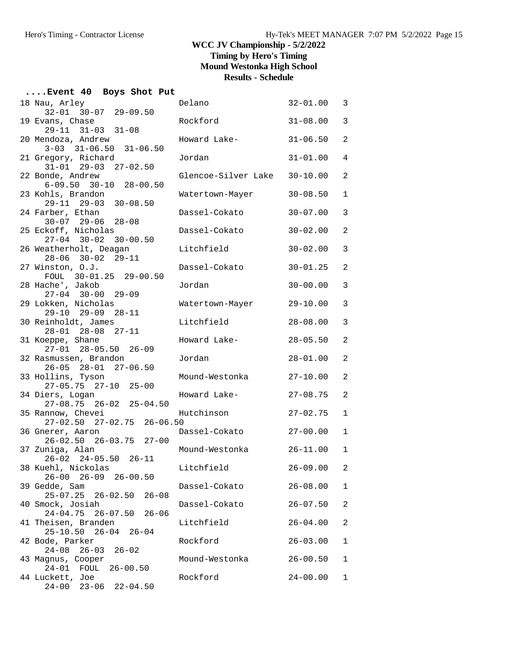# **Results - Schedule**

| Event 40 Boys Shot Put                                        |                     |              |                          |
|---------------------------------------------------------------|---------------------|--------------|--------------------------|
| 18 Nau, Arley<br>$32 - 01$ $30 - 07$ $29 - 09.50$             | Delano              | $32 - 01.00$ | $\overline{\phantom{a}}$ |
| 19 Evans, Chase<br>29-11 31-03 31-08                          | Rockford            | $31 - 08.00$ | 3                        |
| 20 Mendoza, Andrew<br>$3-03$ $31-06.50$ $31-06.50$            | Howard Lake-        | $31 - 06.50$ | $\overline{a}$           |
| 21 Gregory, Richard<br>$31 - 01$ $29 - 03$ $27 - 02.50$       | Jordan              | $31 - 01.00$ | $\overline{4}$           |
| 22 Bonde, Andrew<br>$6-09.50$ $30-10$ $28-00.50$              | Glencoe-Silver Lake | $30 - 10.00$ | $\overline{a}$           |
| 23 Kohls, Brandon<br>29-11 29-03 30-08.50                     | Watertown-Mayer     | $30 - 08.50$ | $\mathbf{1}$             |
| 24 Farber, Ethan<br>$30-07$ 29-06 28-08                       | Dassel-Cokato       | $30 - 07.00$ | 3                        |
| 25 Eckoff, Nicholas<br>27-04 30-02 30-00.50                   | Dassel-Cokato       | $30 - 02.00$ | $\overline{a}$           |
| 26 Weatherholt, Deagan<br>$28-06$ $30-02$ $29-11$             | Litchfield          | $30 - 02.00$ | 3                        |
| 27 Winston, O.J.<br>FOUL 30-01.25 29-00.50                    | Dassel-Cokato       | $30 - 01.25$ | $\overline{a}$           |
| 28 Hache', Jakob<br>$27-04$ 30-00 29-09                       | Jordan              | $30 - 00.00$ | 3                        |
| 29 Lokken, Nicholas<br>29-10 29-09 28-11                      | Watertown-Mayer     | $29 - 10.00$ | 3                        |
| 30 Reinholdt, James<br>28-01 28-08 27-11                      | Litchfield          | $28 - 08.00$ | 3                        |
| 31 Koeppe, Shane<br>$27 - 01$ $28 - 05.50$ $26 - 09$          | Howard Lake-        | $28 - 05.50$ | $\overline{a}$           |
| 32 Rasmussen, Brandon<br>26-05 28-01 27-06.50                 | Jordan              | $28 - 01.00$ | $\overline{a}$           |
| 33 Hollins, Tyson<br>27-05.75 27-10 25-00                     | Mound-Westonka      | $27 - 10.00$ | $\overline{c}$           |
| 34 Diers, Logan<br>$27-08.75$ $26-02$ $25-04.50$              | Howard Lake-        | $27 - 08.75$ | $\overline{a}$           |
| 35 Rannow, Chevei<br>27-02.50 27-02.75 26-06.50               | Hutchinson          | $27 - 02.75$ | $\mathbf 1$              |
| 36 Gnerer, Aaron<br>26-02.50 26-03.75 27-00                   | Dassel-Cokato       | $27 - 00.00$ | $\mathbf{1}$             |
| 37 Zuniga, Alan<br>26-02 24-05.50 26-11                       | Mound-Westonka      | $26 - 11.00$ | $\mathbf{1}$             |
| 38 Kuehl, Nickolas<br>$26-09$ $26-00.50$<br>$26 - 00$         | Litchfield          | $26 - 09.00$ | 2                        |
| 39 Gedde, Sam<br>$25 - 07.25$<br>26-02.50<br>$26 - 08$        | Dassel-Cokato       | $26 - 08.00$ | 1                        |
| 40 Smock, Josiah<br>$24 - 04.75$<br>$26 - 07.50$<br>$26 - 06$ | Dassel-Cokato       | $26 - 07.50$ | $\overline{a}$           |
| 41 Theisen, Branden<br>$25 - 10.50$ $26 - 04$ $26 - 04$       | Litchfield          | $26 - 04.00$ | $\overline{c}$           |
| 42 Bode, Parker<br>$24 - 08$<br>$26 - 03$<br>$26 - 02$        | Rockford            | $26 - 03.00$ | 1                        |
| 43 Magnus, Cooper<br>24-01 FOUL 26-00.50                      | Mound-Westonka      | $26 - 00.50$ | $\mathbf 1$              |
| 44 Luckett, Joe<br>24-00 23-06 22-04.50                       | Rockford            | $24 - 00.00$ | 1                        |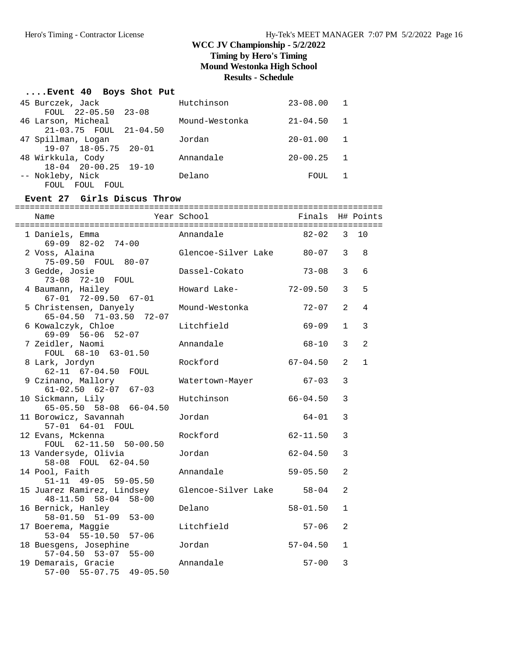**Timing by Hero's Timing**

**Mound Westonka High School**

## **Results - Schedule**

### **....Event 40 Boys Shot Put**

| 45 Burczek, Jack           | Hutchinson     | $23 - 08.00$ | -1             |
|----------------------------|----------------|--------------|----------------|
| FOUL 22-05.50 23-08        |                |              |                |
| 46 Larson, Micheal         | Mound-Westonka | $21 - 04.50$ | $\overline{1}$ |
| 21-03.75 FOUL 21-04.50     |                |              |                |
| 47 Spillman, Logan         | Jordan         | $20 - 01.00$ | 1              |
| $19-07$ $18-05.75$ $20-01$ |                |              |                |
| 48 Wirkkula, Cody          | Annandale      | $20 - 00.25$ | $\overline{1}$ |
| $18-04$ $20-00.25$ $19-10$ |                |              |                |
| -- Nokleby, Nick           | Delano         | FOUL         |                |
| FOUL<br>FOUL<br>FOUL       |                |              |                |

#### **Event 27 Girls Discus Throw**

========================================================================== Name Year School Finals H# Points ========================================================================== 1 Daniels, Emma Annandale 82-02 3 10 69-09 82-02 74-00 2 Voss, Alaina Glencoe-Silver Lake 80-07 3 8 75-09.50 FOUL 80-07 3 Gedde, Josie Dassel-Cokato 73-08 3 6 73-08 72-10 FOUL 4 Baumann, Hailey Howard Lake- 72-09.50 3 5 67-01 72-09.50 67-01 5 Christensen, Danyely Mound-Westonka 72-07 2 4 65-04.50 71-03.50 72-07 6 Kowalczyk, Chloe Litchfield 69-09 1 3 69-09 56-06 52-07 7 Zeidler, Naomi Annandale 68-10 3 2 FOUL 68-10 63-01.50 8 Lark, Jordyn Rockford 67-04.50 2 1 62-11 67-04.50 FOUL<br>9 Czinano, Mallory Watertown-Mayer 67-03 3 61-02.50 62-07 67-03 10 Sickmann, Lily Hutchinson 66-04.50 3 65-05.50 58-08 66-04.50 11 Borowicz, Savannah Jordan 64-01 3 57-01 64-01 FOUL 12 Evans, Mckenna Rockford 62-11.50 3 FOUL 62-11.50 50-00.50 13 Vandersyde, Olivia Jordan 62-04.50 3 58-08 FOUL 62-04.50 14 Pool, Faith Annandale 59-05.50 2 51-11 49-05 59-05.50<br>15 Juarez Ramirez, Lindsey Glencoe-Silver Lake 58-04 2 48-11.50 58-04 58-00 16 Bernick, Hanley Delano 58-01.50 1 58-01.50 51-09 53-00 17 Boerema, Maggie  $L$ itchfield 57-06 2 53-04 55-10.50 57-06 18 Buesgens, Josephine Jordan 57-04.50 1 57-04.50 53-07 55-00 19 Demarais, Gracie Annandale 57-00 3 57-00 55-07.75 49-05.50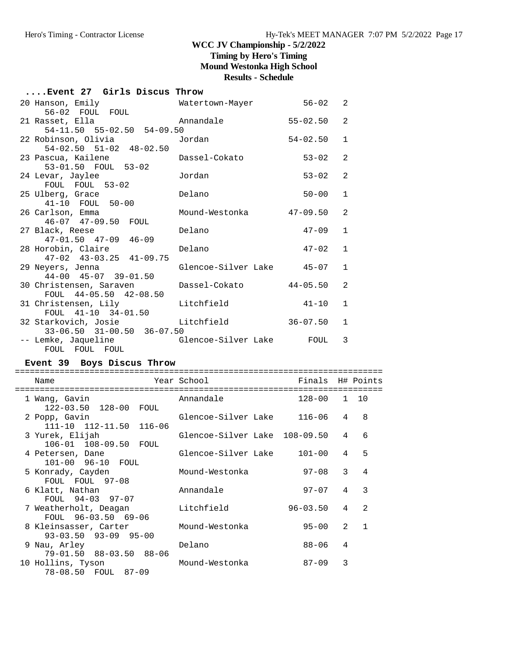# **....Event 27 Girls Discus Throw**

|                    | 20 Hanson, Emily<br>56-02 FOUL FOUL                      | Watertown-Mayer                                                                   | $56 - 02$ 2  |              |
|--------------------|----------------------------------------------------------|-----------------------------------------------------------------------------------|--------------|--------------|
|                    | 21 Rasset, Ella Mannandale<br>54-11.50 55-02.50 54-09.50 |                                                                                   | 55-02.50     | 2            |
|                    | $54-02.50$ $51-02$ $48-02.50$                            | 22 Robinson, Olivia                    Jordan                            54-02.50 |              | $\mathbf{1}$ |
|                    | 23 Pascua, Kailene (Dassel-Cokato<br>53-01.50 FOUL 53-02 |                                                                                   | $53 - 02$    | 2            |
|                    | 24 Levar, Jaylee<br>FOUL FOUL 53-02                      | Jordan                                                                            | $53 - 02$    | 2            |
| 25 Ulberg, Grace   | 41-10 FOUL 50-00                                         | Delano                                                                            | $50 - 00$    | $\mathbf{1}$ |
| 26 Carlson, Emma   | 46-07 47-09.50 FOUL                                      | Mound-Westonka 47-09.50                                                           |              | 2            |
|                    | 27 Black, Reese<br>47-01.50 47-09 46-09                  | Delano                                                                            | 47-09        | $\mathbf{1}$ |
| 28 Horobin, Claire | 47-02 43-03.25 41-09.75                                  | Delano                                                                            | $47 - 02$    | $\mathbf{1}$ |
| 29 Neyers, Jenna   | $44-00$ $45-07$ $39-01.50$                               | Glencoe-Silver Lake 45-07                                                         |              | $\mathbf{1}$ |
|                    | 30 Christensen, Saraven<br>FOUL 44-05.50 42-08.50        | Dassel-Cokato 44-05.50                                                            |              | 2            |
|                    | 31 Christensen, Lily Litchfield<br>FOUL 41-10 34-01.50   |                                                                                   | 41-10        | $\mathbf{1}$ |
|                    | 33-06.50 31-00.50 36-07.50                               | 32 Starkovich, Josie bitchfield                                                   | $36 - 07.50$ | $\mathbf{1}$ |
|                    | FOUL FOUL FOUL                                           | -- Lemke, Jaqueline           Glencoe-Silver Lake     FOUL                        |              | 3            |

### **Event 39 Boys Discus Throw**

========================================================================== Name The Year School The Finals H# Points ========================================================================== 1 Wang, Gavin Annandale 128-00 1 10 122-03.50 128-00 FOUL 2 Popp, Gavin Glencoe-Silver Lake 116-06 4 8 111-10 112-11.50 116-06 3 Yurek, Elijah Glencoe-Silver Lake 108-09.50 4 6 106-01 108-09.50 FOUL 4 Petersen, Dane Glencoe-Silver Lake 101-00 4 5 101-00 96-10 FOUL<br>5 Konrady, Cayden Mound-Westonka 97-08 3 4 FOUL FOUL 97-08 6 Klatt, Nathan Annandale 97-07 4 3 FOUL 94-03 97-07 7 Weatherholt, Deagan Litchfield 96-03.50 4 2 FOUL 96-03.50 69-06 8 Kleinsasser, Carter Mound-Westonka 95-00 2 1 93-03.50 93-09 95-00 9 Nau, Arley Delano 88-06 4 79-01.50 88-03.50 88-06 10 Hollins, Tyson Mound-Westonka 87-09 3 78-08.50 FOUL 87-09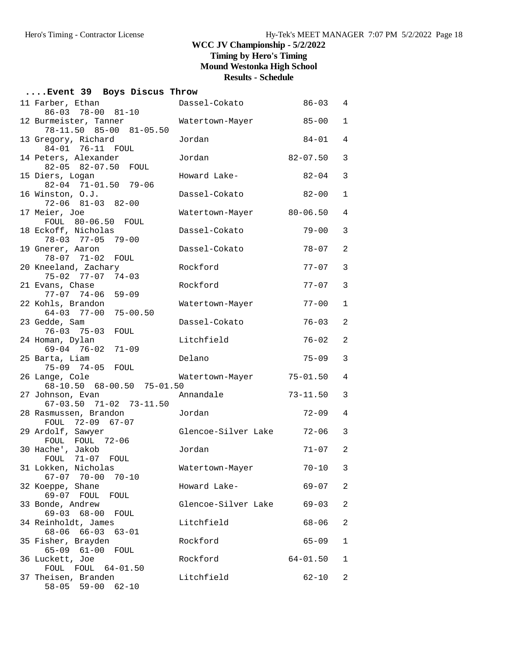# **....Event 39 Boys Discus Throw**

| 11 Farber, Ethan<br>86-03 78-00 81-10                    | Dassel-Cokato       | $86 - 03$    | $\overline{4}$          |
|----------------------------------------------------------|---------------------|--------------|-------------------------|
| 12 Burmeister, Tanner<br>78-11.50 85-00 81-05.50         | Watertown-Mayer     | $85 - 00$    | $\mathbf 1$             |
| 13 Gregory, Richard<br>84-01 76-11 FOUL                  | Jordan              | $84 - 01$    | $\overline{4}$          |
| 14 Peters, Alexander<br>82-05 82-07.50 FOUL              | Jordan              | $82 - 07.50$ | 3                       |
| 15 Diers, Logan<br>82-04 71-01.50 79-06                  | Howard Lake-        | $82 - 04$    | 3                       |
| 16 Winston, O.J.<br>72-06 81-03 82-00                    | Dassel-Cokato       | $82 - 00$    | $\mathbf 1$             |
| 17 Meier, Joe<br>FOUL 80-06.50 FOUL                      | Watertown-Mayer     | $80 - 06.50$ | $\overline{4}$          |
| 18 Eckoff, Nicholas<br>78-03 77-05 79-00                 | Dassel-Cokato       | $79 - 00$    | 3                       |
| 19 Gnerer, Aaron<br>78-07 71-02 FOUL                     | Dassel-Cokato       | $78 - 07$    | $\overline{c}$          |
| 20 Kneeland, Zachary<br>$75-02$ $77-07$ $74-03$          | Rockford            | $77 - 07$    | 3                       |
| 21 Evans, Chase<br>$77 - 07$ $74 - 06$<br>$59 - 09$      | Rockford            | $77 - 07$    | 3                       |
| 22 Kohls, Brandon<br>$64 - 03$ $77 - 00$<br>$75 - 00.50$ | Watertown-Mayer     | $77 - 00$    | $\mathbf{1}$            |
| 23 Gedde, Sam<br>$76 - 03$ $75 - 03$<br>FOUL             | Dassel-Cokato       | $76 - 03$    | $\overline{a}$          |
| 24 Homan, Dylan<br>$69 - 04$ $76 - 02$<br>$71 - 09$      | Litchfield          | $76 - 02$    | $\overline{a}$          |
| 25 Barta, Liam<br>$75 - 09$ $74 - 05$<br>FOUL            | Delano              | $75 - 09$    | 3                       |
| 26 Lange, Cole<br>68-10.50 68-00.50 75-01.50             | Watertown-Mayer     | $75 - 01.50$ | $\overline{4}$          |
| 27 Johnson, Evan<br>$67-03.50$ $71-02$ $73-11.50$        | Annandale           | $73 - 11.50$ | 3                       |
| 28 Rasmussen, Brandon<br>FOUL 72-09 67-07                | Jordan              | $72 - 09$    | $\overline{4}$          |
| 29 Ardolf, Sawyer<br>FOUL FOUL 72-06                     | Glencoe-Silver Lake | $72 - 06$    | 3                       |
| 30 Hache', Jakob<br>FOUL 71-07 FOUL                      | Jordan              | $71 - 07$    | $\overline{2}$          |
| 31 Lokken, Nicholas<br>$67-07$ $70-00$ $70-10$           | Watertown-Mayer     | 70-10        | 3                       |
| 32 Koeppe, Shane<br>69-07 FOUL<br>FOUL                   | Howard Lake-        | $69 - 07$    | 2                       |
| 33 Bonde, Andrew<br>$69 - 03$ $68 - 00$<br>FOUL          | Glencoe-Silver Lake | $69 - 03$    | 2                       |
| 34 Reinholdt, James<br>68-06 66-03<br>$63 - 01$          | Litchfield          | $68 - 06$    | $\overline{\mathbf{c}}$ |
| 35 Fisher, Brayden<br>$65 - 09$ $61 - 00$<br>FOUL        | Rockford            | $65 - 09$    | 1                       |
| 36 Luckett, Joe<br>FOUL FOUL 64-01.50                    | Rockford            | $64 - 01.50$ | 1                       |
| 37 Theisen, Branden<br>58-05 59-00<br>$62 - 10$          | Litchfield          | $62 - 10$    | 2                       |
|                                                          |                     |              |                         |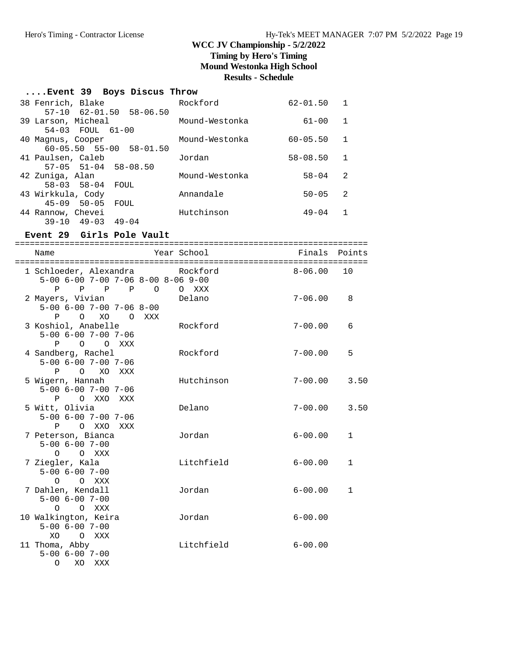# **Timing by Hero's Timing**

**Mound Westonka High School**

**Results - Schedule**

### **....Event 39 Boys Discus Throw**

| 38 Fenrich, Blake                   | Rockford       | $62 - 01.50$ |              |
|-------------------------------------|----------------|--------------|--------------|
| 57-10 62-01.50 58-06.50             |                |              |              |
| 39 Larson, Micheal                  | Mound-Westonka | $61 - 00$    |              |
| 54-03 FOUL 61-00                    |                |              |              |
| 40 Magnus, Cooper                   | Mound-Westonka | $60 - 05.50$ | $\mathbf{1}$ |
| $60 - 05.50$ $55 - 00$ $58 - 01.50$ |                |              |              |
| 41 Paulsen, Caleb                   | Jordan         | $58 - 08.50$ | -1           |
| $57-05$ $51-04$ $58-08.50$          |                |              |              |
| 42 Zuniga, Alan                     | Mound-Westonka | $58 - 04$    | 2            |
| $58 - 03$ $58 - 04$<br>FOUL         |                |              |              |
| 43 Wirkkula, Cody                   | Annandale      | $50 - 05$    | 2            |
| $45 - 09$ $50 - 05$<br>FOUL         |                |              |              |
| 44 Rannow, Chevei                   | Hutchinson     | $49 - 04$    |              |
| $49 - 03$<br>$49 - 04$<br>$39 - 10$ |                |              |              |

### **Event 29 Girls Pole Vault**

=======================================================================

| Name                                                                                                     | Year School                        | Finals      | Points       |
|----------------------------------------------------------------------------------------------------------|------------------------------------|-------------|--------------|
| ======================================<br>1 Schloeder, Alexandra<br>5-00 6-00 7-00 7-06 8-00 8-06 9-00   | ----------------------<br>Rockford | $8 - 06.00$ | 10           |
| $P$ $P$<br>P<br>$\mathbf{P}$<br>$\Omega$<br>2 Mayers, Vivian<br>$5-00$ $6-00$ $7-00$ $7-06$ $8-00$       | O XXX<br>Delano                    | $7 - 06.00$ | 8            |
| $\Omega$<br>XO<br>$\Omega$<br>Ρ<br>XXX                                                                   |                                    |             |              |
| 3 Koshiol, Anabelle<br>$5 - 00$ $6 - 00$ $7 - 00$ $7 - 06$<br>$\Omega$<br>$\mathbf{P}$<br>$\circ$<br>XXX | Rockford                           | $7 - 00.00$ | 6            |
| 4 Sandberg, Rachel<br>$5 - 00$ $6 - 00$ $7 - 00$ $7 - 06$<br>O XO<br>P<br>XXX                            | Rockford                           | $7 - 00.00$ | 5            |
| 5 Wigern, Hannah<br>$5 - 00$ $6 - 00$ $7 - 00$ $7 - 06$                                                  | Hutchinson                         | $7 - 00.00$ | 3.50         |
| O XXO<br>P<br>XXX<br>5 Witt, Olivia<br>$5 - 00$ $6 - 00$ $7 - 00$ $7 - 06$<br>O XXO<br>P<br>XXX          | Delano                             | $7 - 00.00$ | 3.50         |
| 7 Peterson, Bianca<br>$5 - 00$ $6 - 00$ $7 - 00$<br>O XXX<br>$\Omega$                                    | Jordan                             | $6 - 00.00$ | $\mathbf{1}$ |
| 7 Ziegler, Kala<br>$5 - 00$ $6 - 00$ $7 - 00$<br>O O XXX                                                 | Litchfield                         | $6 - 00.00$ | $\mathbf{1}$ |
| 7 Dahlen, Kendall<br>$5 - 00$ $6 - 00$ $7 - 00$<br>O XXX<br>O                                            | Jordan                             | $6 - 00.00$ | $\mathbf{1}$ |
| 10 Walkington, Keira<br>$5 - 00$ $6 - 00$ $7 - 00$<br>XO<br>O XXX                                        | Jordan                             | $6 - 00.00$ |              |
| 11 Thoma, Abby<br>$5 - 00$ $6 - 00$ $7 - 00$<br>O XO XXX                                                 | Litchfield                         | $6 - 00.00$ |              |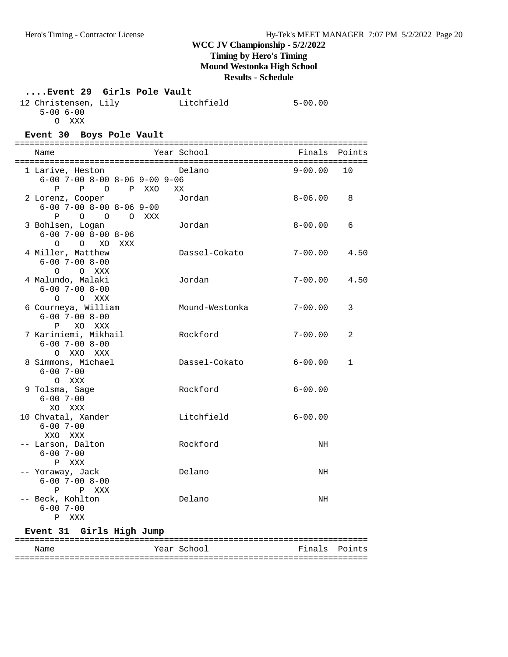# **Timing by Hero's Timing**

**Mound Westonka High School**

### **Results - Schedule**

## **....Event 29 Girls Pole Vault**

| 12 Christensen, Lily | Litchfield | $5 - 00.00$ |
|----------------------|------------|-------------|
| $5 - 006 - 00$       |            |             |
| O XXX                |            |             |

### **Event 30 Boys Pole Vault**

| Name                            | Year School    | Finals Points |                |
|---------------------------------|----------------|---------------|----------------|
|                                 |                |               |                |
| 1 Larive, Heston                | Delano         | $9 - 00.00$   | 10             |
| $6-00$ 7-00 8-00 8-06 9-00 9-06 |                |               |                |
| P P O P XXO                     | XX             |               |                |
| 2 Lorenz, Cooper                | Jordan         | $8 - 06.00$   | 8              |
| $6 - 00$ 7-00 8-00 8-06 9-00    |                |               |                |
| O O O XXX<br>P.                 |                |               |                |
| 3 Bohlsen, Logan                | Jordan         | $8 - 00.00$   | 6              |
| $6 - 00$ 7-00 8-00 8-06         |                |               |                |
| O O XO XXX                      |                |               |                |
| 4 Miller, Matthew               | Dassel-Cokato  | $7 - 00.00$   | 4.50           |
| $6 - 00$ $7 - 00$ $8 - 00$      |                |               |                |
| O O XXX                         |                |               |                |
| 4 Malundo, Malaki               | Jordan         | $7 - 00.00$   | 4.50           |
| $6 - 00$ $7 - 00$ $8 - 00$      |                |               |                |
| O O XXX                         |                |               |                |
| 6 Courneya, William             | Mound-Westonka | $7 - 00.00$   | 3              |
| $6 - 00$ 7-00 8-00              |                |               |                |
| P XO XXX                        |                |               |                |
| 7 Kariniemi, Mikhail            | Rockford       | $7 - 00.00$   | $\overline{a}$ |
| $6 - 00$ $7 - 00$ $8 - 00$      |                |               |                |
| O XXO XXX                       |                |               |                |
| 8 Simmons, Michael              | Dassel-Cokato  | $6 - 00.00$   | $\mathbf{1}$   |
| $6 - 00$ 7-00                   |                |               |                |
| O XXX                           |                |               |                |
| 9 Tolsma, Sage                  | Rockford       | $6 - 00.00$   |                |
| $6 - 00$ 7-00                   |                |               |                |
| XO XXX                          |                |               |                |
| 10 Chvatal, Xander              | Litchfield     | $6 - 00.00$   |                |
| $6 - 00$ 7-00                   |                |               |                |
| XXO XXX                         |                |               |                |
| -- Larson, Dalton               | Rockford       | NH            |                |
| $6 - 00$ 7-00                   |                |               |                |
| P XXX                           |                |               |                |
| -- Yoraway, Jack                | Delano         | NH            |                |
| $6 - 00$ $7 - 00$ $8 - 00$      |                |               |                |
| P P XXX                         |                |               |                |
| -- Beck, Kohlton                | Delano         | NH            |                |
| $6 - 00$ 7-00                   |                |               |                |
| P<br>XXX                        |                |               |                |
|                                 |                |               |                |

## Event 31 Girls High Jump

| Name | Year School | Finals Points |
|------|-------------|---------------|
|      |             |               |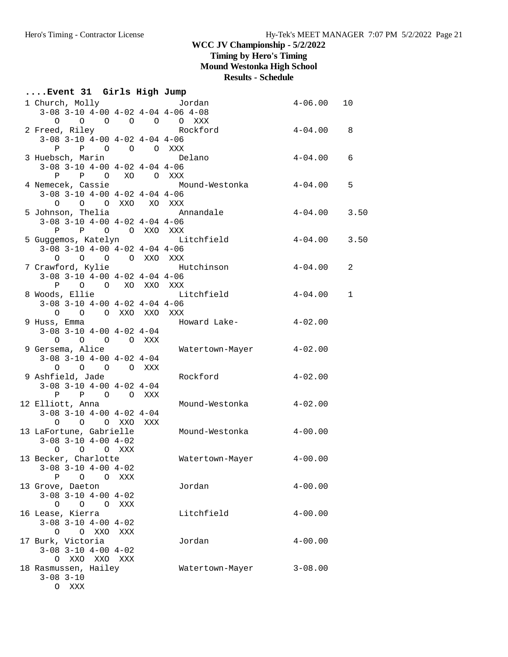**Timing by Hero's Timing**

**Mound Westonka High School**

**Results - Schedule**

| Event 31 Girls High Jump                                         |     |                                      |                  |              |
|------------------------------------------------------------------|-----|--------------------------------------|------------------|--------------|
| 1 Church, Molly                                                  |     | Jordan                               | $4 - 06.00$      | 10           |
| $3-08$ $3-10$ $4-00$ $4-02$ $4-04$ $4-06$ $4-08$                 |     |                                      |                  |              |
| $\begin{matrix} 0 & 0 & 0 & 0 & 0 & 0 & \text{XXX} \end{matrix}$ |     |                                      |                  |              |
| 2 Freed, Riley                                                   |     | Rockford                             | $4 - 04.00$      | 8            |
| $3-08$ $3-10$ $4-00$ $4-02$ $4-04$ $4-06$                        |     |                                      |                  |              |
| P P O O O XXX                                                    |     |                                      |                  |              |
| 3 Huebsch, Marin National Delano                                 |     |                                      | $4-04$ . $00$    | 6            |
| $3-08$ $3-10$ $4-00$ $4-02$ $4-04$ $4-06$                        |     |                                      |                  |              |
| P P O XO O XXX                                                   |     |                                      |                  |              |
|                                                                  |     | 4 Nemecek, Cassie Mound-Westonka     | 4-04.00          | 5            |
| $3-08$ $3-10$ $4-00$ $4-02$ $4-04$ $4-06$                        |     |                                      |                  |              |
| O O O XXO XO XXX                                                 |     |                                      |                  |              |
| 5 Johnson, Thelia                                                |     | Annandale                            | $4-04.00$ 3.50   |              |
| $3-08$ $3-10$ $4-00$ $4-02$ $4-04$ $4-06$                        |     |                                      |                  |              |
| P P O O XXO XXX                                                  |     |                                      |                  |              |
|                                                                  |     | 5 Guggemos, Katelyn       Litchfield | $4 - 04.00$ 3.50 |              |
| $3-08$ $3-10$ $4-00$ $4-02$ $4-04$ $4-06$                        |     |                                      |                  |              |
|                                                                  |     |                                      |                  |              |
| 0 0 0 0 XXO XXX                                                  |     |                                      |                  |              |
| 7 Crawford, Kylie Mutchinson                                     |     |                                      | $4 - 04.00$      | 2            |
| $3-08$ $3-10$ $4-00$ $4-02$ $4-04$ $4-06$                        |     |                                      |                  |              |
| P O O XO XXO XXX                                                 |     |                                      |                  |              |
| 8 Woods, Ellie                                                   |     | Litchfield                           | $4-04.00$        | $\mathbf{1}$ |
| $3-08$ $3-10$ $4-00$ $4-02$ $4-04$ $4-06$                        |     |                                      |                  |              |
| 0 0 0 XXO XXO XXX                                                |     |                                      |                  |              |
| 9 Huss, Emma                                                     |     | Howard Lake- 4-02.00                 |                  |              |
| $3-08$ $3-10$ $4-00$ $4-02$ $4-04$                               |     |                                      |                  |              |
| $\begin{matrix} 0 & 0 & 0 & 0 & \text{XXX} \end{matrix}$         |     |                                      |                  |              |
| 9 Gersema, Alice                                                 |     | Watertown-Mayer                      | $4 - 02.00$      |              |
| $3-08$ $3-10$ $4-00$ $4-02$ $4-04$                               |     |                                      |                  |              |
| O O O O XXX                                                      |     |                                      |                  |              |
| 9 Ashfield, Jade                                                 |     | Rockford                             | $4 - 02.00$      |              |
| $3-08$ $3-10$ $4-00$ $4-02$ $4-04$                               |     |                                      |                  |              |
| P P O O XXX                                                      |     |                                      |                  |              |
| 12 Elliott, Anna                                                 |     | Mound-Westonka                       | $4 - 02.00$      |              |
| $3-08$ $3-10$ $4-00$ $4-02$ $4-04$                               |     |                                      |                  |              |
| O O O XXO XXX                                                    |     |                                      |                  |              |
| 13 LaFortune, Gabrielle                                          |     | Mound-Westonka                       | $4 - 00.00$      |              |
| $3-08$ $3-10$ $4-00$ $4-02$                                      |     |                                      |                  |              |
| O O O XXX                                                        |     |                                      |                  |              |
| 13 Becker, Charlotte                                             |     | Watertown-Mayer                      | $4 - 00.00$      |              |
| $3-08$ $3-10$ $4-00$ $4-02$                                      |     |                                      |                  |              |
| P 0 0                                                            | XXX |                                      |                  |              |
| 13 Grove, Daeton                                                 |     | Jordan                               | $4 - 00.00$      |              |
| $3-08$ $3-10$ $4-00$ $4-02$                                      |     |                                      |                  |              |
| O O O XXX                                                        |     |                                      |                  |              |
| 16 Lease, Kierra                                                 |     | Litchfield                           | $4 - 00.00$      |              |
| $3-08$ $3-10$ $4-00$ $4-02$                                      |     |                                      |                  |              |
| $\circ$<br>O XXO                                                 | XXX |                                      |                  |              |
| 17 Burk, Victoria                                                |     | Jordan                               | $4 - 00.00$      |              |
| $3-08$ $3-10$ $4-00$ $4-02$                                      |     |                                      |                  |              |
| O XXO XXO XXX                                                    |     |                                      |                  |              |
| 18 Rasmussen, Hailey                                             |     | Watertown-Mayer                      | $3 - 08.00$      |              |
| $3 - 08$ $3 - 10$                                                |     |                                      |                  |              |
| O XXX                                                            |     |                                      |                  |              |
|                                                                  |     |                                      |                  |              |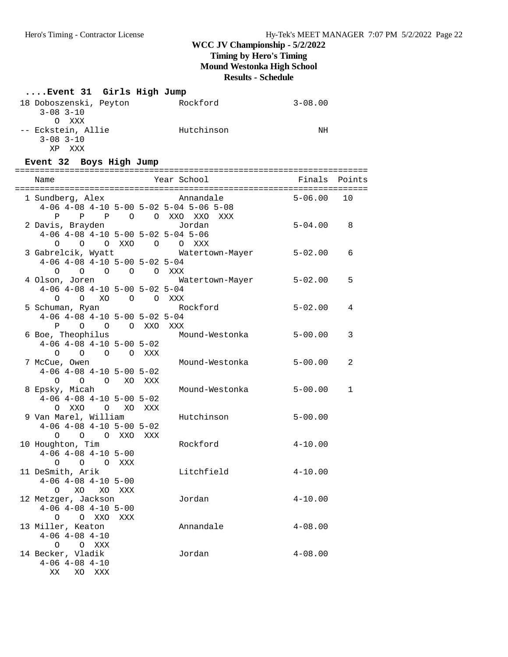# **WCC JV Championship - 5/2/2022 Timing by Hero's Timing**

## **Mound Westonka High School**

**Results - Schedule**

# **....Event 31 Girls High Jump**

| 18 Doboszenski, Peyton | Rockford   | $3 - 08.00$ |
|------------------------|------------|-------------|
| $3 - 08$ $3 - 10$      |            |             |
| O XXX                  |            |             |
| -- Eckstein, Allie     | Hutchinson | NΗ          |
| $3 - 08$ $3 - 10$      |            |             |
| xxx<br>ХÞ              |            |             |

# **Event 32 Boys High Jump**

| Name                                                                                                                        | Year School             | Finals Points |              |
|-----------------------------------------------------------------------------------------------------------------------------|-------------------------|---------------|--------------|
| 1 Sundberg, Alex<br>4-06 4-08 4-10 5-00 5-02 5-04 5-06 5-08                                                                 | Annandale               | $5 - 06.00$   | 10           |
|                                                                                                                             | Jordan                  | $5 - 04.00$   | 8            |
| $4-06$ $4-08$ $4-10$ $5-00$ $5-02$ $5-04$ $5-06$                                                                            |                         |               |              |
| $4-06$ $4-08$ $4-10$ $5-00$ $5-02$ $5-04$                                                                                   |                         |               | 6            |
| $\begin{matrix} 0 & 0 & 0 & 0 & 0 & \text{XXX} \end{matrix}$<br>4 Olson, Joren<br>$4-06$ $4-08$ $4-10$ $5-00$ $5-02$ $5-04$ | Watertown-Mayer 5-02.00 |               | 5            |
| 0 0 XO 0 0 XXX<br>5 Schuman, Ryan                                                                                           | Rockford                | $5 - 02.00$   | 4            |
| $4-06$ $4-08$ $4-10$ $5-00$ $5-02$ $5-04$                                                                                   |                         |               |              |
| 6 Boe, Theophilus<br>$4-06$ $4-08$ $4-10$ $5-00$ $5-02$                                                                     | Mound-Westonka          | $5 - 00.00$   | 3            |
| 0 0 0 0 XXX<br>7 McCue, Owen<br>$4-06$ $4-08$ $4-10$ $5-00$ $5-02$                                                          | Mound-Westonka          | $5 - 00.00$   | 2            |
| O O O XO XXX<br>8 Epsky, Micah<br>$4-06$ $4-08$ $4-10$ $5-00$ $5-02$                                                        | Mound-Westonka          | $5 - 00.00$   | $\mathbf{1}$ |
| O XXO O XO XXX<br>9 Van Marel, William                                                                                      | Hutchinson              | $5 - 00.00$   |              |
| $4-06$ $4-08$ $4-10$ $5-00$ $5-02$<br>0 0 0 XXO XXX                                                                         |                         |               |              |
| 10 Houghton, Tim<br>$4-06$ $4-08$ $4-10$ $5-00$<br>O O O XXX                                                                | Rockford                | $4 - 10.00$   |              |
| 11 DeSmith, Arik<br>$4-06$ $4-08$ $4-10$ $5-00$                                                                             | Litchfield              | $4 - 10.00$   |              |
| O XO XO XXX<br>12 Metzger, Jackson<br>$4-06$ $4-08$ $4-10$ $5-00$                                                           | Jordan                  | $4 - 10.00$   |              |
| O O XXO XXX<br>13 Miller, Keaton<br>$4-06$ $4-08$ $4-10$                                                                    | Annandale               | $4 - 08.00$   |              |
| O O XXX<br>14 Becker, Vladik<br>$4-06$ $4-08$ $4-10$<br>XX<br>XO XXX                                                        | Jordan                  | $4 - 08.00$   |              |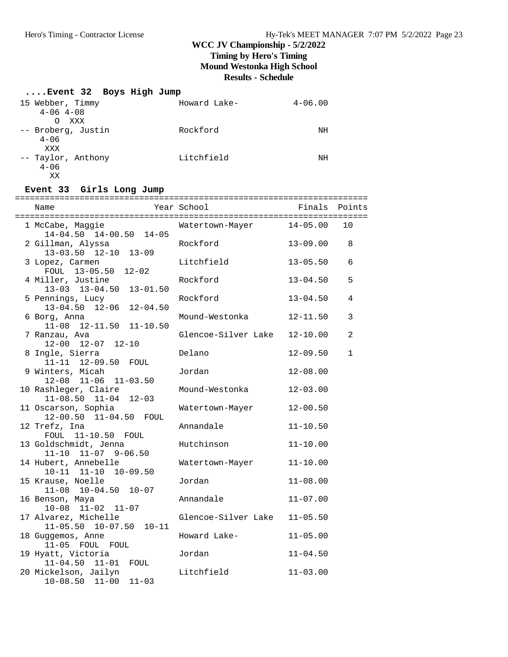# **....Event 32 Boys High Jump**

| 15 Webber, Timmy<br>$4 - 06$ $4 - 08$<br>XXX<br>O | Howard Lake- | $4 - 06.00$ |
|---------------------------------------------------|--------------|-------------|
| -- Broberg, Justin<br>$4 - 06$                    | Rockford     | ΝH          |
| XXX<br>-- Taylor, Anthony<br>$4 - 06$<br>XX       | Litchfield   | ΝH          |

## **Event 33 Girls Long Jump**

| Name<br>Finals Points Year School Finals Points       |                          |              |                |
|-------------------------------------------------------|--------------------------|--------------|----------------|
| 1 McCabe, Maggie<br>$14-04.50$ $14-00.50$ $14-05$     | Watertown-Mayer 14-05.00 |              | 10             |
| 2 Gillman, Alyssa<br>$13-03.50$ $12-10$ $13-09$       | Rockford                 | $13 - 09.00$ | 8              |
| 3 Lopez, Carmen<br>FOUL 13-05.50 12-02                | Litchfield               | $13 - 05.50$ | 6              |
| 4 Miller, Justine<br>13-03 13-04.50 13-01.50          | Rockford                 | $13 - 04.50$ | 5              |
| 5 Pennings, Lucy                                      | Rockford                 | $13 - 04.50$ | 4              |
| 6 Borg, Anna<br>11-08 12-11.50 11-10.50               | Mound-Westonka           | $12 - 11.50$ | 3              |
| 7 Ranzau, Ava<br>$12-00$ $12-07$ $12-10$              | Glencoe-Silver Lake      | $12 - 10.00$ | $\overline{a}$ |
| 8 Ingle, Sierra<br>11-11 12-09.50 FOUL                | Delano                   | $12 - 09.50$ | $\mathbf 1$    |
| 9 Winters, Micah<br>$12-08$ $11-06$ $11-03.50$        | Jordan                   | $12 - 08.00$ |                |
| 10 Rashleger, Claire<br>$11-08.50$ $11-04$ $12-03$    | Mound-Westonka           | $12 - 03.00$ |                |
| 11 Oscarson, Sophia<br>12-00.50 11-04.50 FOUL         | Watertown-Mayer          | $12 - 00.50$ |                |
| 12 Trefz, Ina<br>FOUL 11-10.50 FOUL                   | Annandale                | $11 - 10.50$ |                |
| 13 Goldschmidt, Jenna<br>$11-10$ $11-07$ $9-06.50$    | Hutchinson               | $11 - 10.00$ |                |
| 14 Hubert, Annebelle<br>10-11 11-10 10-09.50          | Watertown-Mayer          | $11 - 10.00$ |                |
| 15 Krause, Noelle<br>11-08 10-04.50 10-07             | Jordan                   | $11 - 08.00$ |                |
| 16 Benson, Maya<br>$10-08$ $11-02$ $11-07$            | Annandale                | $11 - 07.00$ |                |
| 17 Alvarez, Michelle<br>$11-05.50$ $10-07.50$ $10-11$ | Glencoe-Silver Lake      | $11 - 05.50$ |                |
| 18 Guggemos, Anne<br>11-05 FOUL FOUL                  | Howard Lake-             | $11 - 05.00$ |                |
| 19 Hyatt, Victoria<br>11-04.50 11-01 FOUL             | Jordan                   | $11 - 04.50$ |                |
| 20 Mickelson, Jailyn<br>$10-08.50$ $11-00$ $11-03$    | Litchfield               | $11 - 03.00$ |                |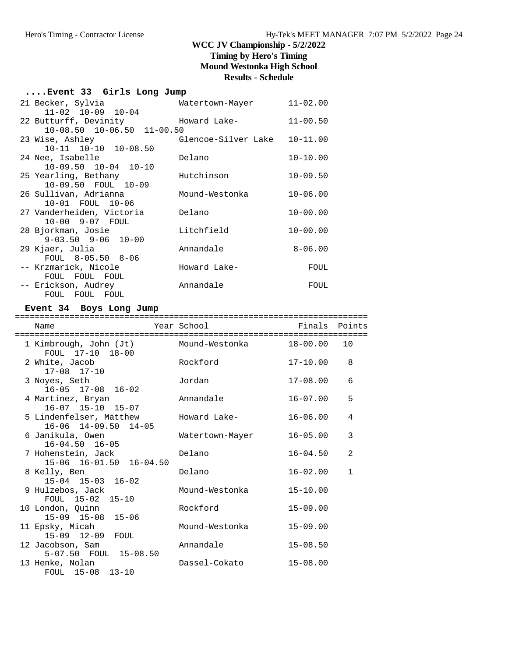# **....Event 33 Girls Long Jump**

| 21 Becker, Sylvia                   | Watertown-Mayer     | $11 - 02.00$ |
|-------------------------------------|---------------------|--------------|
| $11-02$ $10-09$ $10-04$             |                     |              |
| 22 Butturff, Devinity  Howard Lake- |                     | $11 - 00.50$ |
| $10-08.50$ $10-06.50$ $11-00.50$    |                     |              |
| 23 Wise, Ashley                     | Glencoe-Silver Lake | $10 - 11.00$ |
| 10-11 10-10 10-08.50                |                     |              |
| 24 Nee, Isabelle                    | Delano              | $10 - 10.00$ |
| $10-09.50$ $10-04$ $10-10$          |                     |              |
| 25 Yearling, Bethany                | Hutchinson          | $10 - 09.50$ |
| 10-09.50 FOUL 10-09                 |                     |              |
| 26 Sullivan, Adrianna               | Mound-Westonka      | $10 - 06.00$ |
| 10-01 FOUL 10-06                    |                     |              |
| 27 Vanderheiden, Victoria           | Delano              | $10 - 00.00$ |
| 10-00 9-07 FOUL                     |                     |              |
| 28 Bjorkman, Josie                  | Litchfield          | $10 - 00.00$ |
| $9 - 03.50$ $9 - 06$ $10 - 00$      |                     |              |
| 29 Kjaer, Julia                     | Annandale           | $8 - 06.00$  |
| FOUL 8-05.50 8-06                   |                     |              |
| -- Krzmarick, Nicole                | Howard Lake-        | FOUL         |
| FOUL FOUL FOUL                      |                     |              |
| -- Erickson, Audrey                 | Annandale           | FOUL         |
| FOUL FOUL FOUL                      |                     |              |

## **Event 34 Boys Long Jump**

| Name                                                               | Year School     | Finals Points |                |
|--------------------------------------------------------------------|-----------------|---------------|----------------|
| 1 Kimbrough, John (Jt) Mound-Westonka 18-00.00<br>FOUL 17-10 18-00 |                 |               | 10             |
| 2 White, Jacob<br>$17 - 08$ $17 - 10$                              | Rockford        | $17 - 10.00$  | 8              |
| 3 Noyes, Seth<br>16-05 17-08 16-02                                 | Jordan          | $17 - 08.00$  | 6              |
| 4 Martinez, Bryan<br>$16 - 07$ $15 - 10$ $15 - 07$                 | Annandale       | $16 - 07.00$  | 5              |
| 5 Lindenfelser, Matthew<br>$16-06$ $14-09.50$ $14-05$              | Howard Lake-    | $16 - 06.00$  | 4              |
| 6 Janikula, Owen<br>$16 - 04.50$ $16 - 05$                         | Watertown-Mayer | $16 - 05.00$  | 3              |
| 7 Hohenstein, Jack<br>15-06 16-01.50 16-04.50                      | Delano          | $16 - 04.50$  | $\overline{2}$ |
| 8 Kelly, Ben<br>$15-04$ $15-03$ $16-02$                            | Delano          | $16 - 02.00$  | $\mathbf{1}$   |
| 9 Hulzebos, Jack<br>FOUL 15-02 15-10                               | Mound-Westonka  | $15 - 10.00$  |                |
| 10 London, Ouinn<br>15-09 15-08 15-06                              | Rockford        | $15 - 09.00$  |                |
| 11 Epsky, Micah<br>15-09 12-09 FOUL                                | Mound-Westonka  | $15 - 09.00$  |                |
| 12 Jacobson, Sam<br>5-07.50 FOUL 15-08.50                          | Annandale       | $15 - 08.50$  |                |
| 13 Henke, Nolan<br>FOUL 15-08 13-10                                | Dassel-Cokato   | $15 - 08.00$  |                |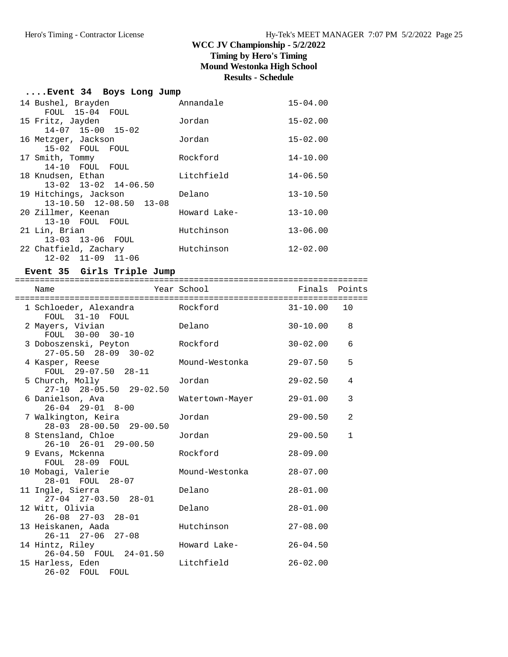# **Timing by Hero's Timing**

**Mound Westonka High School**

**Results - Schedule**

### **....Event 34 Boys Long Jump**

| 14 Bushel, Brayden            | Annandale    | $15 - 04.00$ |
|-------------------------------|--------------|--------------|
| FOUL 15-04 FOUL               |              |              |
| 15 Fritz, Jayden              | Jordan       | $15 - 02.00$ |
| 14-07 15-00 15-02             |              |              |
| 16 Metzger, Jackson           | Jordan       | $15 - 02.00$ |
| $15-02$ FOUL<br>FOUL          |              |              |
| 17 Smith, Tommy               | Rockford     | $14 - 10.00$ |
| 14-10 FOUL FOUL               |              |              |
| 18 Knudsen, Ethan             | Litchfield   | $14 - 06.50$ |
| $13-02$ $13-02$ $14-06.50$    |              |              |
| 19 Hitchings, Jackson         | Delano       | $13 - 10.50$ |
| 13-10.50 12-08.50 13-08       |              |              |
| 20 Zillmer, Keenan            | Howard Lake- | $13 - 10.00$ |
| 13-10 FOUL FOUL               |              |              |
| 21 Lin, Brian                 | Hutchinson   | $13 - 06.00$ |
| 13-03 13-06 FOUL              |              |              |
| 22 Chatfield, Zachary         | Hutchinson   | $12 - 02.00$ |
| $12 - 02$ $11 - 09$ $11 - 06$ |              |              |

## **Event 35 Girls Triple Jump**

| Name                                                         | Year School     | Finals Points |              |
|--------------------------------------------------------------|-----------------|---------------|--------------|
| 1 Schloeder, Alexandra           Rockford<br>FOUL 31-10 FOUL |                 | $31 - 10.00$  | 10           |
| 2 Mayers, Vivian<br>FOUL 30-00 30-10                         | Delano          | $30 - 10.00$  | 8            |
| 3 Doboszenski, Peyton<br>$27 - 05.50$ $28 - 09$ $30 - 02$    | Rockford        | $30 - 02.00$  | 6            |
| 4 Kasper, Reese<br>FOUL 29-07.50 28-11                       | Mound-Westonka  | 29-07.50      | 5            |
| 5 Church, Molly<br>27-10 28-05.50 29-02.50                   | Jordan          | $29 - 02.50$  | 4            |
| 6 Danielson, Ava<br>$26 - 04$ $29 - 01$ $8 - 00$             | Watertown-Mayer | $29 - 01.00$  | 3            |
| 7 Walkington, Keira<br>28-03 28-00.50 29-00.50               | Jordan          | $29 - 00.50$  | 2            |
| 8 Stensland, Chloe<br>$26-10$ $26-01$ $29-00.50$             | Jordan          | $29 - 00.50$  | $\mathbf{1}$ |
| 9 Evans, Mckenna<br>FOUL 28-09 FOUL                          | Rockford        | $28 - 09.00$  |              |
| 10 Mobagi, Valerie<br>28-01 FOUL 28-07                       | Mound-Westonka  | $28 - 07.00$  |              |
| 11 Ingle, Sierra<br>$27-04$ $27-03.50$ $28-01$               | Delano          | $28 - 01.00$  |              |
| 12 Witt, Olivia<br>$26 - 08$ $27 - 03$ $28 - 01$             | Delano          | $28 - 01.00$  |              |
| 13 Heiskanen, Aada<br>$26 - 11$ $27 - 06$ $27 - 08$          | Hutchinson      | $27 - 08.00$  |              |
| 14 Hintz, Riley<br>26-04.50 FOUL 24-01.50                    | Howard Lake-    | $26 - 04.50$  |              |
| 15 Harless, Eden<br>26-02 FOUL FOUL                          | Litchfield      | $26 - 02.00$  |              |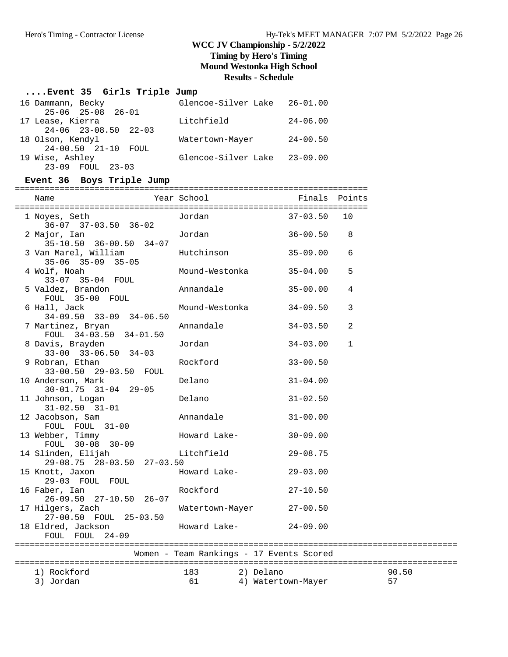## **....Event 35 Girls Triple Jump**

| 16 Dammann, Becky             | Glencoe-Silver Lake          | $26 - 01.00$ |
|-------------------------------|------------------------------|--------------|
| $25 - 06$ $25 - 08$ $26 - 01$ |                              |              |
| 17 Lease, Kierra              | Litchfield                   | $24 - 06.00$ |
| $24-06$ $23-08.50$ $22-03$    |                              |              |
| 18 Olson, Kendyl              | Watertown-Mayer              | $24 - 00.50$ |
| 24-00.50 21-10 FOUL           |                              |              |
| 19 Wise, Ashley               | Glencoe-Silver Lake 23-09.00 |              |
| $23-09$ FOUL $23-03$          |                              |              |

### **Event 36 Boys Triple Jump**

=======================================================================

|                                          | Name                                         | Year School     |                    | Finals       | Points       |       |
|------------------------------------------|----------------------------------------------|-----------------|--------------------|--------------|--------------|-------|
|                                          |                                              | Jordan          |                    | $37 - 03.50$ | 10           |       |
|                                          | 1 Noyes, Seth<br>$36-07$ $37-03.50$ $36-02$  |                 |                    |              |              |       |
|                                          | 2 Major, Ian                                 | Jordan          |                    | $36 - 00.50$ | 8            |       |
|                                          | 35-10.50 36-00.50 34-07                      |                 |                    |              |              |       |
|                                          | 3 Van Marel, William                         | Hutchinson      |                    | $35 - 09.00$ | 6            |       |
|                                          | $35-06$ $35-09$ $35-05$                      |                 |                    |              |              |       |
|                                          | 4 Wolf, Noah                                 | Mound-Westonka  |                    | $35 - 04.00$ | 5            |       |
|                                          | 33-07 35-04 FOUL                             |                 |                    |              |              |       |
|                                          | 5 Valdez, Brandon<br>FOUL 35-00 FOUL         | Annandale       |                    | $35 - 00.00$ | 4            |       |
|                                          | 6 Hall, Jack                                 | Mound-Westonka  |                    | $34 - 09.50$ | 3            |       |
|                                          | $34-09.50$ $33-09$ $34-06.50$                |                 |                    |              |              |       |
|                                          | 7 Martinez, Bryan                            | Annandale       |                    | $34 - 03.50$ | 2            |       |
|                                          | FOUL 34-03.50 34-01.50                       |                 |                    |              |              |       |
|                                          | 8 Davis, Brayden                             | Jordan          |                    | $34 - 03.00$ | $\mathbf{1}$ |       |
|                                          | $33 - 00$ $33 - 06.50$ $34 - 03$             |                 |                    |              |              |       |
|                                          | 9 Robran, Ethan                              | Rockford        |                    | $33 - 00.50$ |              |       |
|                                          | 33-00.50 29-03.50 FOUL<br>10 Anderson, Mark  | Delano          |                    | $31 - 04.00$ |              |       |
|                                          | $30 - 01.75$ $31 - 04$ 29-05                 |                 |                    |              |              |       |
|                                          | 11 Johnson, Logan                            | Delano          |                    | $31 - 02.50$ |              |       |
|                                          | $31 - 02.50$ $31 - 01$                       |                 |                    |              |              |       |
|                                          | 12 Jacobson, Sam                             | Annandale       |                    | $31 - 00.00$ |              |       |
|                                          | FOUL FOUL 31-00                              |                 |                    |              |              |       |
|                                          | 13 Webber, Timmy                             | Howard Lake-    |                    | $30 - 09.00$ |              |       |
|                                          | FOUL 30-08 30-09<br>14 Slinden, Elijah       | Litchfield      |                    | $29 - 08.75$ |              |       |
|                                          | 29-08.75 28-03.50 27-03.50                   |                 |                    |              |              |       |
|                                          | 15 Knott, Jaxon                              | Howard Lake-    |                    | $29 - 03.00$ |              |       |
|                                          | 29-03 FOUL FOUL                              |                 |                    |              |              |       |
|                                          | 16 Faber, Ian                                | Rockford        |                    | $27 - 10.50$ |              |       |
|                                          | 26-09.50 27-10.50 26-07                      |                 |                    |              |              |       |
|                                          | 17 Hilgers, Zach                             | Watertown-Mayer |                    | $27 - 00.50$ |              |       |
|                                          | 27-00.50 FOUL 25-03.50<br>18 Eldred, Jackson | Howard Lake-    |                    | $24 - 09.00$ |              |       |
|                                          | FOUL FOUL 24-09                              |                 |                    |              |              |       |
|                                          |                                              |                 |                    |              |              |       |
| Women - Team Rankings - 17 Events Scored |                                              |                 |                    |              |              |       |
|                                          | 1) Rockford                                  | 183             | 2) Delano          |              |              | 90.50 |
|                                          | 3) Jordan                                    | 61              | 4) Watertown-Mayer |              |              | 57    |
|                                          |                                              |                 |                    |              |              |       |